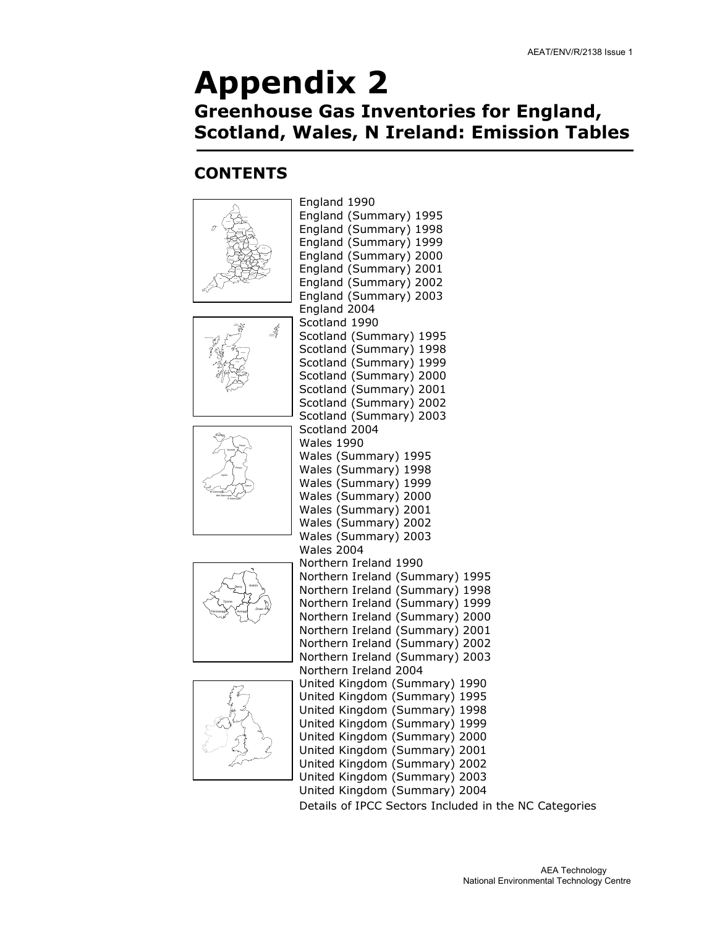### Appendix 2 Greenhouse Gas Inventories for England, Scotland, Wales, N Ireland: Emission Tables

#### **CONTENTS**

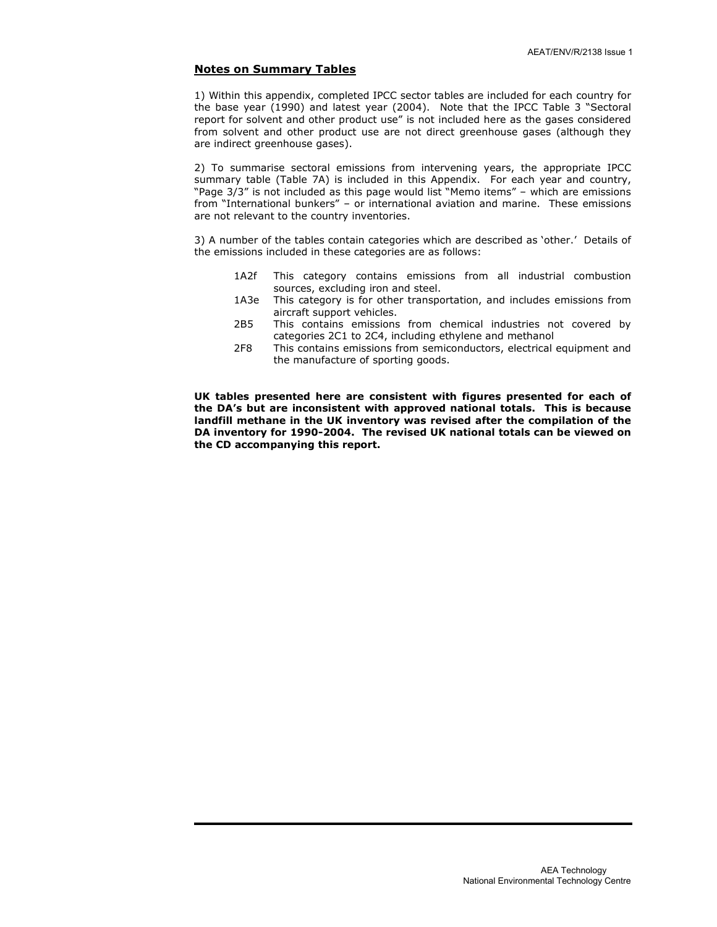#### Notes on Summary Tables

1) Within this appendix, completed IPCC sector tables are included for each country for the base year (1990) and latest year (2004). Note that the IPCC Table 3 "Sectoral report for solvent and other product use" is not included here as the gases considered from solvent and other product use are not direct greenhouse gases (although they are indirect greenhouse gases).

2) To summarise sectoral emissions from intervening years, the appropriate IPCC summary table (Table 7A) is included in this Appendix. For each year and country, "Page 3/3" is not included as this page would list "Memo items" – which are emissions from "International bunkers" – or international aviation and marine. These emissions are not relevant to the country inventories.

3) A number of the tables contain categories which are described as 'other.' Details of the emissions included in these categories are as follows:

- 1A2f This category contains emissions from all industrial combustion sources, excluding iron and steel.
- 1A3e This category is for other transportation, and includes emissions from aircraft support vehicles.
- 2B5 This contains emissions from chemical industries not covered by categories 2C1 to 2C4, including ethylene and methanol<br>2F8 This contains emissions from semiconductors, electrical
- This contains emissions from semiconductors, electrical equipment and the manufacture of sporting goods.

UK tables presented here are consistent with figures presented for each of the DA's but are inconsistent with approved national totals. This is because landfill methane in the UK inventory was revised after the compilation of the DA inventory for 1990-2004. The revised UK national totals can be viewed on the CD accompanying this report.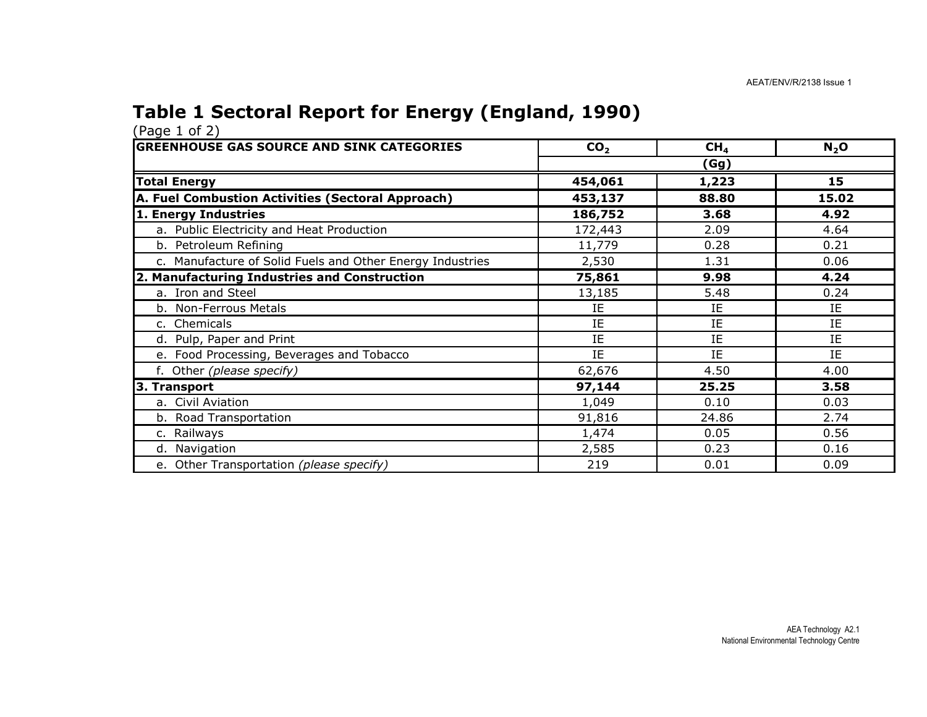#### Table 1 Sectoral Report for Energy (England, 1990)

| <b>GREENHOUSE GAS SOURCE AND SINK CATEGORIES</b>          | CO <sub>2</sub> | CH <sub>4</sub> | $N_2$ O |  |  |  |
|-----------------------------------------------------------|-----------------|-----------------|---------|--|--|--|
|                                                           | (Gg)            |                 |         |  |  |  |
| <b>Total Energy</b>                                       | 454,061         | 1,223           | 15      |  |  |  |
| A. Fuel Combustion Activities (Sectoral Approach)         | 453,137         | 88.80           | 15.02   |  |  |  |
| 1. Energy Industries                                      | 186,752         | 3.68            | 4.92    |  |  |  |
| a. Public Electricity and Heat Production                 | 172,443         | 2.09            | 4.64    |  |  |  |
| b. Petroleum Refining                                     | 11,779          | 0.28            | 0.21    |  |  |  |
| c. Manufacture of Solid Fuels and Other Energy Industries | 2,530           | 1.31            | 0.06    |  |  |  |
| 2. Manufacturing Industries and Construction              | 75,861          | 9.98            | 4.24    |  |  |  |
| a. Iron and Steel                                         | 13,185          | 5.48            | 0.24    |  |  |  |
| b. Non-Ferrous Metals                                     | IE              | IE              | IE      |  |  |  |
| c. Chemicals                                              | IE              | IE              | IE      |  |  |  |
| d. Pulp, Paper and Print                                  | IE              | IE              | IE      |  |  |  |
| e. Food Processing, Beverages and Tobacco                 | IE              | IE.             | IE      |  |  |  |
| f. Other (please specify)                                 | 62,676          | 4.50            | 4.00    |  |  |  |
| 3. Transport                                              | 97,144          | 25.25           | 3.58    |  |  |  |
| a. Civil Aviation                                         | 1,049           | 0.10            | 0.03    |  |  |  |
| b. Road Transportation                                    | 91,816          | 24.86           | 2.74    |  |  |  |
| c. Railways                                               | 1,474           | 0.05            | 0.56    |  |  |  |
| d. Navigation                                             | 2,585           | 0.23            | 0.16    |  |  |  |
| e. Other Transportation (please specify)                  | 219             | 0.01            | 0.09    |  |  |  |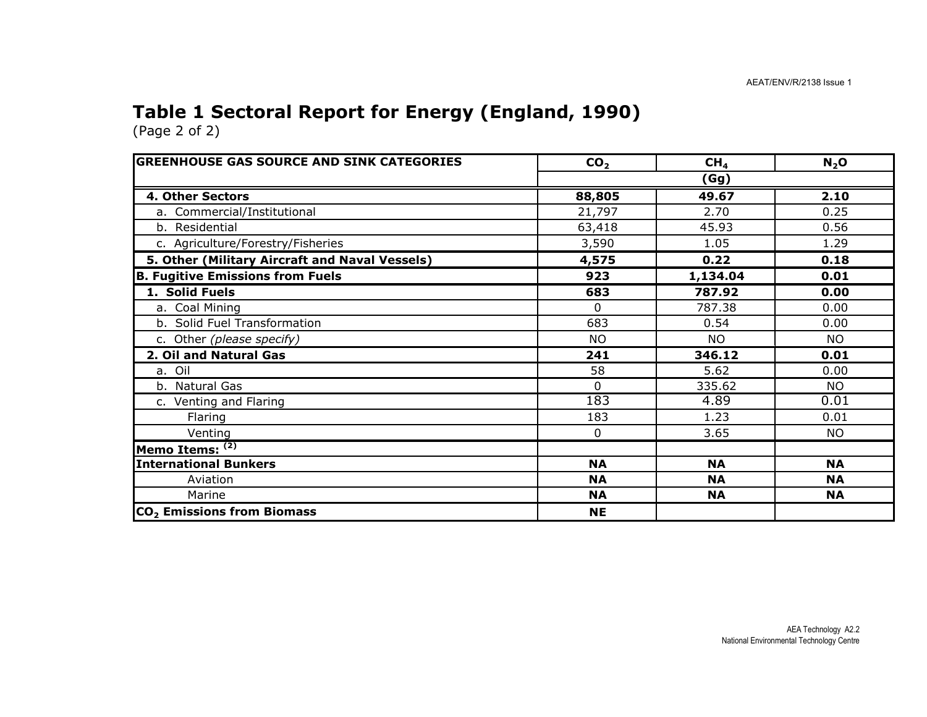#### Table 1 Sectoral Report for Energy (England, 1990)

| <b>GREENHOUSE GAS SOURCE AND SINK CATEGORIES</b> | CO <sub>2</sub> | CH <sub>4</sub> | N <sub>2</sub> O |  |  |
|--------------------------------------------------|-----------------|-----------------|------------------|--|--|
|                                                  | (Gg)            |                 |                  |  |  |
| 4. Other Sectors                                 | 88,805          | 49.67           | 2.10             |  |  |
| a. Commercial/Institutional                      | 21,797          | 2.70            | 0.25             |  |  |
| b. Residential                                   | 63,418          | 45.93           | 0.56             |  |  |
| c. Agriculture/Forestry/Fisheries                | 3,590           | 1.05            | 1.29             |  |  |
| 5. Other (Military Aircraft and Naval Vessels)   | 4,575           | 0.22            | 0.18             |  |  |
| <b>B. Fugitive Emissions from Fuels</b>          | 923             | 1,134.04        | 0.01             |  |  |
| 1. Solid Fuels                                   | 683             | 787.92          | 0.00             |  |  |
| a. Coal Mining                                   | $\Omega$        | 787.38          | 0.00             |  |  |
| b. Solid Fuel Transformation                     | 683             | 0.54            | 0.00             |  |  |
| c. Other (please specify)                        | <b>NO</b>       | <b>NO</b>       | <b>NO</b>        |  |  |
| 2. Oil and Natural Gas                           | 241             | 346.12          | 0.01             |  |  |
| a. Oil                                           | 58              | 5.62            | 0.00             |  |  |
| b. Natural Gas                                   | $\Omega$        | 335.62          | <b>NO</b>        |  |  |
| c. Venting and Flaring                           | 183             | 4.89            | 0.01             |  |  |
| Flaring                                          | 183             | 1.23            | 0.01             |  |  |
| Venting                                          | $\mathbf{0}$    | 3.65            | NO.              |  |  |
| Memo Items: (2)                                  |                 |                 |                  |  |  |
| <b>International Bunkers</b>                     | <b>NA</b>       | <b>NA</b>       | <b>NA</b>        |  |  |
| Aviation                                         | <b>NA</b>       | <b>NA</b>       | <b>NA</b>        |  |  |
| Marine                                           | <b>NA</b>       | <b>NA</b>       | <b>NA</b>        |  |  |
| CO <sub>2</sub> Emissions from Biomass           | <b>NE</b>       |                 |                  |  |  |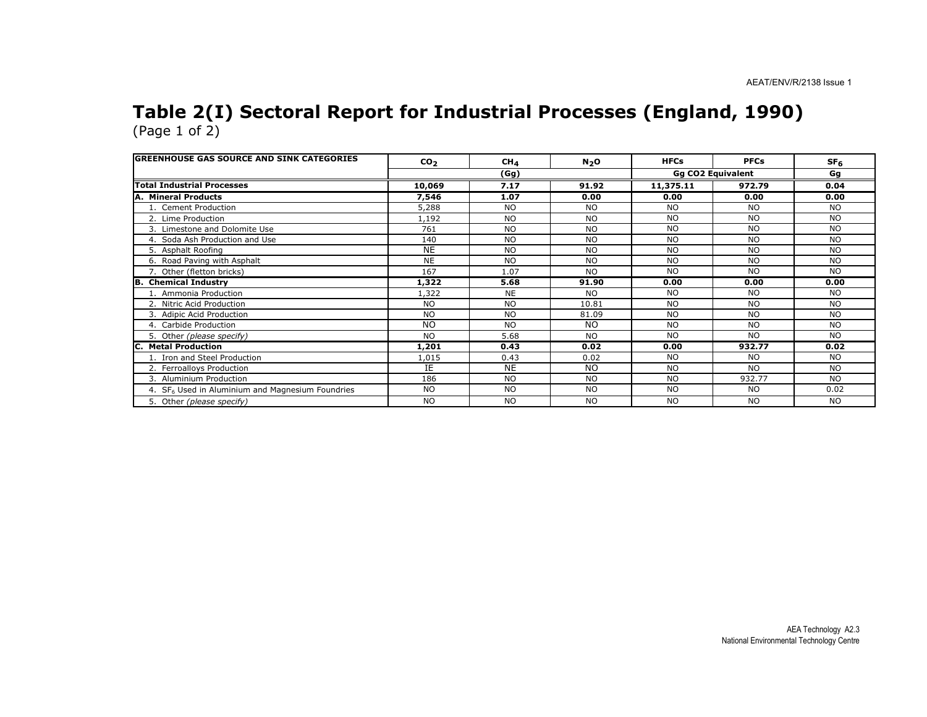#### Table 2(I) Sectoral Report for Industrial Processes (England, 1990) (Page 1 of 2)

| <b>GREENHOUSE GAS SOURCE AND SINK CATEGORIES</b>             | CO <sub>2</sub> | CH <sub>4</sub> | $N_2$ O   | <b>HFCs</b> | <b>PFCs</b>              | SF <sub>6</sub> |
|--------------------------------------------------------------|-----------------|-----------------|-----------|-------------|--------------------------|-----------------|
|                                                              |                 | (Gg)            |           |             | <b>Gg CO2 Equivalent</b> | Gg              |
| <b>Total Industrial Processes</b>                            | 10,069          | 7.17            | 91.92     | 11,375.11   | 972.79                   | 0.04            |
| A. Mineral Products                                          | 7,546           | 1.07            | 0.00      | 0.00        | 0.00                     | 0.00            |
| 1. Cement Production                                         | 5,288           | <b>NO</b>       | <b>NO</b> | <b>NO</b>   | <b>NO</b>                | <b>NO</b>       |
| 2. Lime Production                                           | 1,192           | N <sub>O</sub>  | <b>NO</b> | <b>NO</b>   | <b>NO</b>                | <b>NO</b>       |
| 3. Limestone and Dolomite Use                                | 761             | <b>NO</b>       | <b>NO</b> | <b>NO</b>   | <b>NO</b>                | <b>NO</b>       |
| 4. Soda Ash Production and Use                               | 140             | <b>NO</b>       | <b>NO</b> | <b>NO</b>   | <b>NO</b>                | <b>NO</b>       |
| 5. Asphalt Roofing                                           | <b>NE</b>       | N <sub>O</sub>  | <b>NO</b> | <b>NO</b>   | <b>NO</b>                | <b>NO</b>       |
| 6. Road Paving with Asphalt                                  | <b>NE</b>       | N <sub>O</sub>  | NO.       | <b>NO</b>   | <b>NO</b>                | <b>NO</b>       |
| 7. Other (fletton bricks)                                    | 167             | 1.07            | <b>NO</b> | <b>NO</b>   | <b>NO</b>                | <b>NO</b>       |
| <b>B. Chemical Industry</b>                                  | 1,322           | 5.68            | 91.90     | 0.00        | 0.00                     | 0.00            |
| 1. Ammonia Production                                        | 1,322           | <b>NE</b>       | NO.       | <b>NO</b>   | N <sub>O</sub>           | <b>NO</b>       |
| 2. Nitric Acid Production                                    | <b>NO</b>       | <b>NO</b>       | 10.81     | <b>NO</b>   | <b>NO</b>                | <b>NO</b>       |
| 3. Adipic Acid Production                                    | <b>NO</b>       | N <sub>O</sub>  | 81.09     | <b>NO</b>   | N <sub>O</sub>           | <b>NO</b>       |
| 4. Carbide Production                                        | <b>NO</b>       | <b>NO</b>       | <b>NO</b> | <b>NO</b>   | <b>NO</b>                | <b>NO</b>       |
| 5. Other (please specify)                                    | <b>NO</b>       | 5.68            | <b>NO</b> | <b>NO</b>   | <b>NO</b>                | <b>NO</b>       |
| <b>Metal Production</b>                                      | 1,201           | 0.43            | 0.02      | 0.00        | 932.77                   | 0.02            |
| 1. Iron and Steel Production                                 | 1,015           | 0.43            | 0.02      | <b>NO</b>   | <b>NO</b>                | NO.             |
| 2. Ferroalloys Production                                    | IΕ              | <b>NE</b>       | <b>NO</b> | <b>NO</b>   | <b>NO</b>                | <b>NO</b>       |
| 3. Aluminium Production                                      | 186             | <b>NO</b>       | <b>NO</b> | <b>NO</b>   | 932.77                   | <b>NO</b>       |
| 4. SF <sub>6</sub> Used in Aluminium and Magnesium Foundries | <b>NO</b>       | <b>NO</b>       | <b>NO</b> | <b>NO</b>   | <b>NO</b>                | 0.02            |
| 5. Other (please specify)                                    | <b>NO</b>       | <b>NO</b>       | <b>NO</b> | <b>NO</b>   | <b>NO</b>                | <b>NO</b>       |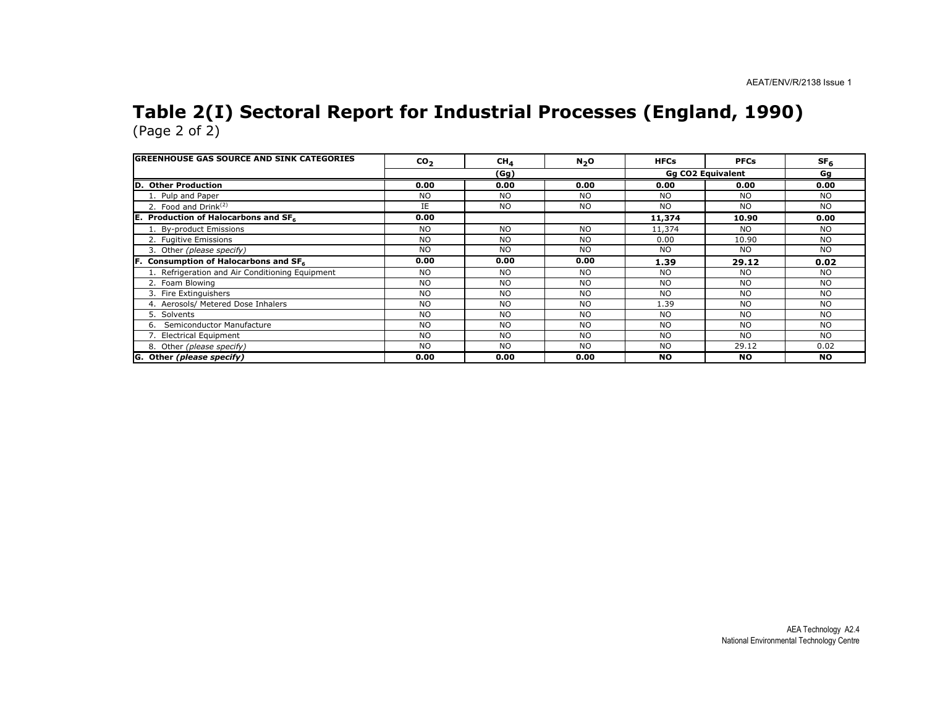# Table 2(I) Sectoral Report for Industrial Processes (England, 1990) (Page 2 of 2)

| <b>IGREENHOUSE GAS SOURCE AND SINK CATEGORIES</b> | CO <sub>2</sub> | $CH_{4}$  | $N_2$ O        | <b>HFCs</b>    | <b>PFCs</b>              | SF <sub>6</sub> |
|---------------------------------------------------|-----------------|-----------|----------------|----------------|--------------------------|-----------------|
|                                                   |                 | (Gg)      |                |                | <b>Gg CO2 Equivalent</b> | Gg              |
| <b>Other Production</b><br>D                      | 0.00            | 0.00      | 0.00           | 0.00           | 0.00                     | 0.00            |
| 1. Pulp and Paper                                 | <b>NO</b>       | <b>NO</b> | <b>NO</b>      | N <sub>O</sub> | <b>NO</b>                | <b>NO</b>       |
| 2. Food and $Drink(2)$                            | IE.             | <b>NO</b> | <b>NO</b>      | N <sub>O</sub> | <b>NO</b>                | <b>NO</b>       |
| IE.<br>Production of Halocarbons and SF6          | 0.00            |           |                | 11,374         | 10.90                    | 0.00            |
| 1. By-product Emissions                           | N <sub>O</sub>  | <b>NO</b> | <b>NO</b>      | 11,374         | NO.                      | <b>NO</b>       |
| 2. Fugitive Emissions                             | <b>NO</b>       | <b>NO</b> | <b>NO</b>      | 0.00           | 10.90                    | <b>NO</b>       |
| 3. Other (please specify)                         | <b>NO</b>       | <b>NO</b> | <b>NO</b>      | <b>NO</b>      | <b>NO</b>                | <b>NO</b>       |
| Consumption of Halocarbons and SF6<br>IF.         | 0.00            | 0.00      | 0.00           | 1.39           | 29.12                    | 0.02            |
| 1. Refrigeration and Air Conditioning Equipment   | <b>NO</b>       | <b>NO</b> | N <sub>O</sub> | <b>NO</b>      | <b>NO</b>                | <b>NO</b>       |
| 2. Foam Blowing                                   | <b>NO</b>       | <b>NO</b> | <b>NO</b>      | N <sub>O</sub> | <b>NO</b>                | <b>NO</b>       |
| 3. Fire Extinguishers                             | <b>NO</b>       | <b>NO</b> | <b>NO</b>      | N <sub>O</sub> | <b>NO</b>                | <b>NO</b>       |
| 4. Aerosols/ Metered Dose Inhalers                | <b>NO</b>       | <b>NO</b> | N <sub>O</sub> | 1.39           | <b>NO</b>                | <b>NO</b>       |
| 5. Solvents                                       | <b>NO</b>       | <b>NO</b> | <b>NO</b>      | N <sub>O</sub> | <b>NO</b>                | <b>NO</b>       |
| Semiconductor Manufacture<br>6.                   | <b>NO</b>       | <b>NO</b> | <b>NO</b>      | <b>NO</b>      | <b>NO</b>                | <b>NO</b>       |
| 7. Electrical Equipment                           | <b>NO</b>       | <b>NO</b> | <b>NO</b>      | N <sub>O</sub> | <b>NO</b>                | <b>NO</b>       |
| 8. Other (please specify)                         | <b>NO</b>       | <b>NO</b> | <b>NO</b>      | <b>NO</b>      | 29.12                    | 0.02            |
| G. Other (please specify)                         | 0.00            | 0.00      | 0.00           | <b>NO</b>      | <b>NO</b>                | <b>NO</b>       |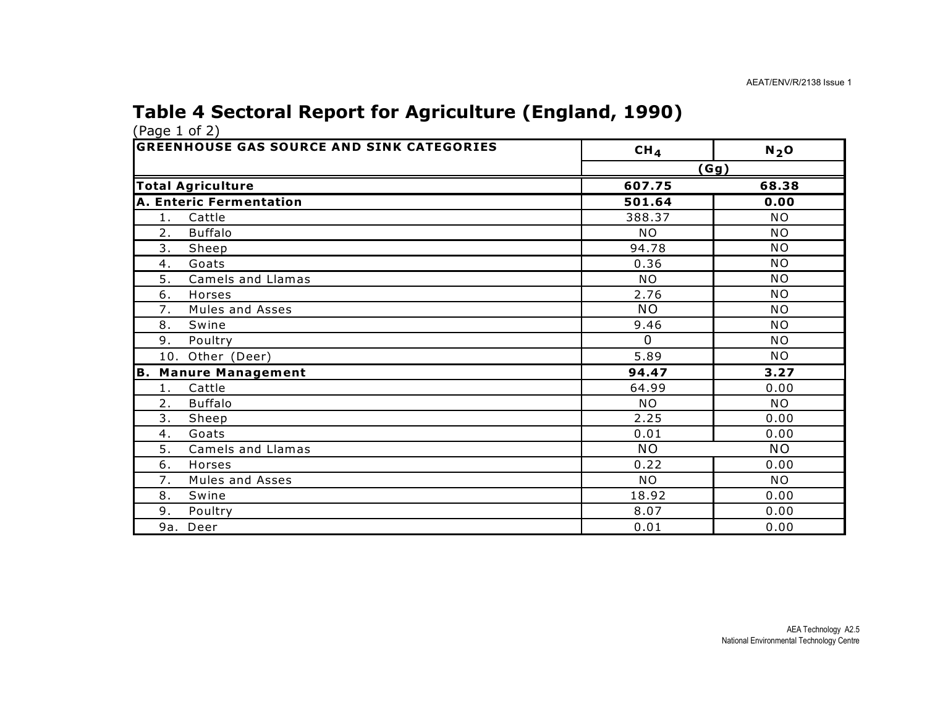#### Table 4 Sectoral Report for Agriculture (England, 1990)

| <b>GREENHOUSE GAS SOURCE AND SINK CATEGORIES</b> | CH <sub>4</sub> | $N2$ O    |
|--------------------------------------------------|-----------------|-----------|
|                                                  |                 | (Gg)      |
| <b>Total Agriculture</b>                         | 607.75          | 68.38     |
| A. Enteric Fermentation                          | 501.64          | 0.00      |
| Cattle<br>1.                                     | 388.37          | <b>NO</b> |
| 2.<br><b>Buffalo</b>                             | <b>NO</b>       | <b>NO</b> |
| 3.<br>Sheep                                      | 94.78           | <b>NO</b> |
| Goats<br>4.                                      | 0.36            | <b>NO</b> |
| 5.<br>Camels and Llamas                          | <b>NO</b>       | <b>NO</b> |
| 6.<br>Horses                                     | 2.76            | <b>NO</b> |
| 7.<br>Mules and Asses                            | <b>NO</b>       | <b>NO</b> |
| 8.<br>Swine                                      | 9.46            | <b>NO</b> |
| 9.<br>Poultry                                    | $\Omega$        | <b>NO</b> |
| 10. Other (Deer)                                 | 5.89            | <b>NO</b> |
| <b>B. Manure Management</b>                      | 94.47           | 3.27      |
| Cattle<br>1.                                     | 64.99           | 0.00      |
| 2.<br><b>Buffalo</b>                             | <b>NO</b>       | <b>NO</b> |
| 3.<br>Sheep                                      | 2.25            | 0.00      |
| Goats<br>4.                                      | 0.01            | 0.00      |
| 5.<br>Camels and Llamas                          | <b>NO</b>       | <b>NO</b> |
| 6.<br>Horses                                     | 0.22            | 0.00      |
| Mules and Asses<br>7.                            | <b>NO</b>       | <b>NO</b> |
| 8.<br>Swine                                      | 18.92           | 0.00      |
| 9.<br>Poultry                                    | 8.07            | 0.00      |
| 9a. Deer                                         | 0.01            | 0.00      |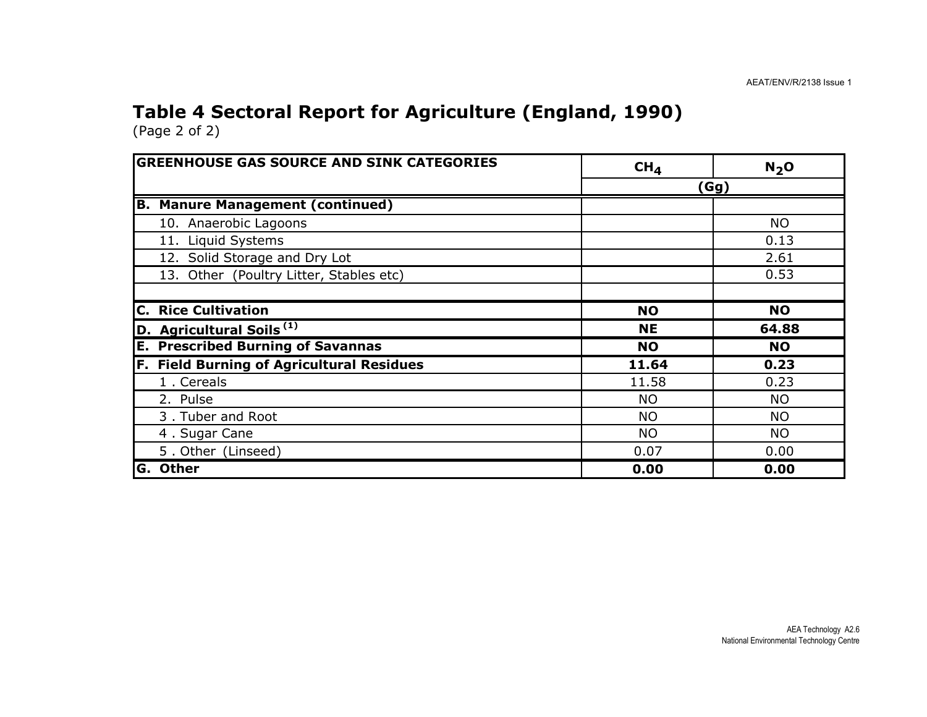### Table 4 Sectoral Report for Agriculture (England, 1990)

| <b>GREENHOUSE GAS SOURCE AND SINK CATEGORIES</b> | CH <sub>4</sub> | N <sub>2</sub> O |
|--------------------------------------------------|-----------------|------------------|
|                                                  |                 | (Gg)             |
| <b>Manure Management (continued)</b><br>B.       |                 |                  |
| 10. Anaerobic Lagoons                            |                 | <b>NO</b>        |
| 11. Liquid Systems                               |                 | 0.13             |
| 12. Solid Storage and Dry Lot                    |                 | 2.61             |
| 13. Other (Poultry Litter, Stables etc)          |                 | 0.53             |
|                                                  |                 |                  |
| <b>Rice Cultivation</b><br>C.                    | <b>NO</b>       | <b>NO</b>        |
| D. Agricultural Soils <sup>(1)</sup>             | <b>NE</b>       | 64.88            |
| <b>Prescribed Burning of Savannas</b><br>Е.      | <b>NO</b>       | <b>NO</b>        |
| F. Field Burning of Agricultural Residues        | 11.64           | 0.23             |
| 1. Cereals                                       | 11.58           | 0.23             |
| 2. Pulse                                         | <b>NO</b>       | <b>NO</b>        |
| 3. Tuber and Root                                | <b>NO</b>       | <b>NO</b>        |
| 4. Sugar Cane                                    | <b>NO</b>       | <b>NO</b>        |
| 5. Other (Linseed)                               | 0.07            | 0.00             |
| <b>Other</b><br>G.                               | 0.00            | 0.00             |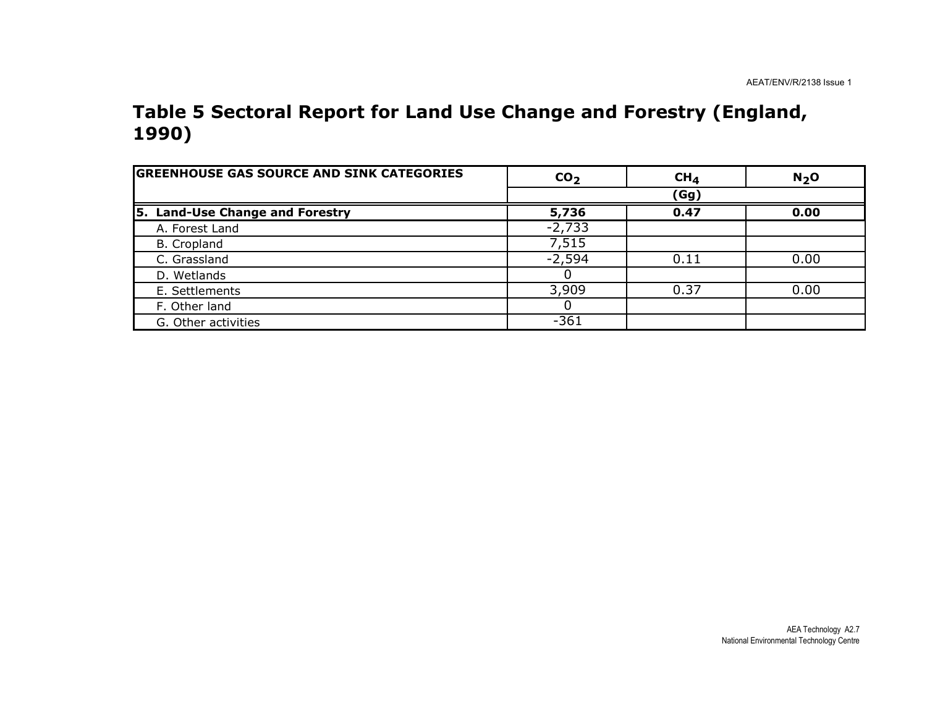#### Table 5 Sectoral Report for Land Use Change and Forestry (England, 1990)

| <b>GREENHOUSE GAS SOURCE AND SINK CATEGORIES</b> | CO <sub>2</sub> | CH <sub>4</sub> | $N2$ O |
|--------------------------------------------------|-----------------|-----------------|--------|
|                                                  |                 | (Gg)            |        |
| 5. Land-Use Change and Forestry                  | 5,736           | 0.47            | 0.00   |
| A. Forest Land                                   | $-2,733$        |                 |        |
| B. Cropland                                      | 7,515           |                 |        |
| C. Grassland                                     | $-2,594$        | 0.11            | 0.00   |
| D. Wetlands                                      |                 |                 |        |
| E. Settlements                                   | 3,909           | 0.37            | 0.00   |
| F. Other land                                    |                 |                 |        |
| G. Other activities                              | $-361$          |                 |        |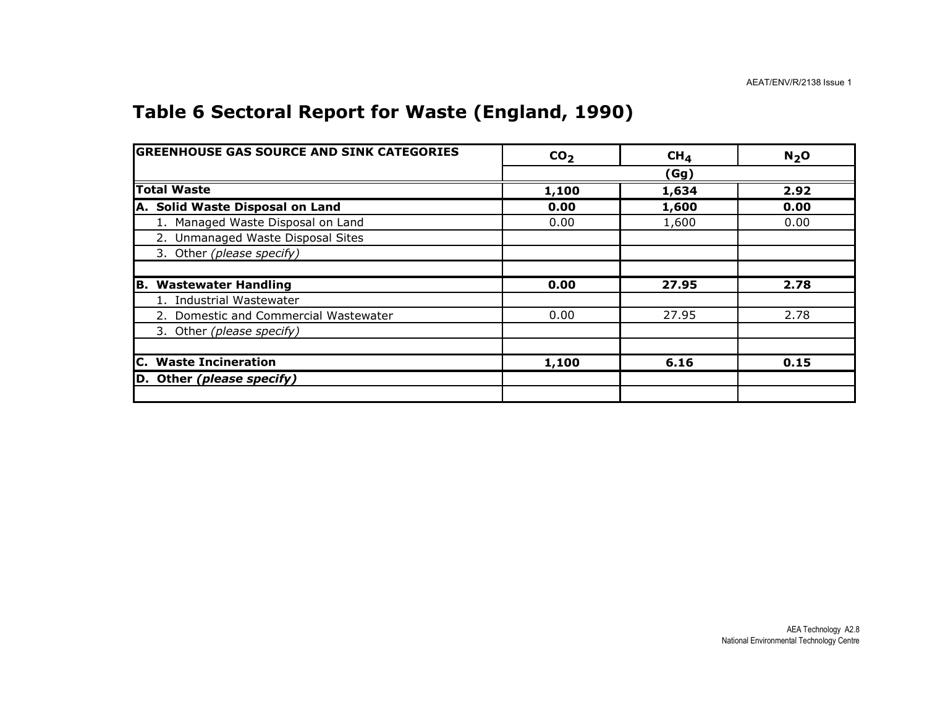#### Table 6 Sectoral Report for Waste (England, 1990)

| <b>GREENHOUSE GAS SOURCE AND SINK CATEGORIES</b> | CO <sub>2</sub> | CH <sub>4</sub> | N <sub>2</sub> O |
|--------------------------------------------------|-----------------|-----------------|------------------|
|                                                  |                 | (Gg)            |                  |
| <b>Total Waste</b>                               | 1,100           | 1,634           | 2.92             |
| A. Solid Waste Disposal on Land                  | 0.00            | 1,600           | 0.00             |
| 1. Managed Waste Disposal on Land                | 0.00            | 1,600           | 0.00             |
| 2. Unmanaged Waste Disposal Sites                |                 |                 |                  |
| 3. Other (please specify)                        |                 |                 |                  |
|                                                  |                 |                 |                  |
| <b>B. Wastewater Handling</b>                    | 0.00            | 27.95           | 2.78             |
| 1. Industrial Wastewater                         |                 |                 |                  |
| 2. Domestic and Commercial Wastewater            | 0.00            | 27.95           | 2.78             |
| 3. Other (please specify)                        |                 |                 |                  |
|                                                  |                 |                 |                  |
| <b>C.</b> Waste Incineration                     | 1,100           | 6.16            | 0.15             |
| D. Other (please specify)                        |                 |                 |                  |
|                                                  |                 |                 |                  |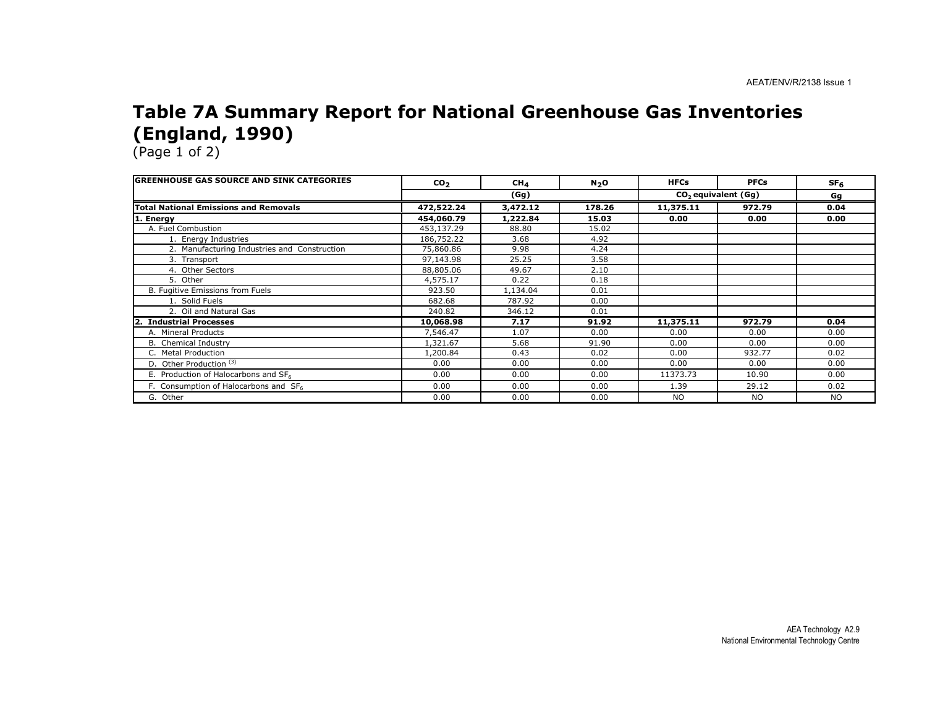#### Table 7A Summary Report for National Greenhouse Gas Inventories (England, 1990)

| <b>lGREENHOUSE GAS SOURCE AND SINK CATEGORIES</b> | CO <sub>2</sub> | CH <sub>4</sub> | N <sub>2</sub> O | <b>HFCs</b> | <b>PFCs</b>           | SF <sub>6</sub> |
|---------------------------------------------------|-----------------|-----------------|------------------|-------------|-----------------------|-----------------|
|                                                   |                 | (Gg)            |                  |             | $CO2$ equivalent (Gg) | Gg              |
| <b>Total National Emissions and Removals</b>      | 472,522.24      | 3,472.12        | 178.26           | 11,375.11   | 972.79                | 0.04            |
| 1. Energy                                         | 454,060.79      | 1,222.84        | 15.03            | 0.00        | 0.00                  | 0.00            |
| A. Fuel Combustion                                | 453,137.29      | 88.80           | 15.02            |             |                       |                 |
| 1. Energy Industries                              | 186,752.22      | 3.68            | 4.92             |             |                       |                 |
| 2. Manufacturing Industries and Construction      | 75,860.86       | 9.98            | 4.24             |             |                       |                 |
| 3. Transport                                      | 97,143.98       | 25.25           | 3.58             |             |                       |                 |
| 4. Other Sectors                                  | 88,805.06       | 49.67           | 2.10             |             |                       |                 |
| 5. Other                                          | 4,575.17        | 0.22            | 0.18             |             |                       |                 |
| B. Fugitive Emissions from Fuels                  | 923.50          | 1,134.04        | 0.01             |             |                       |                 |
| 1. Solid Fuels                                    | 682.68          | 787.92          | 0.00             |             |                       |                 |
| 2. Oil and Natural Gas                            | 240.82          | 346.12          | 0.01             |             |                       |                 |
| <b>Industrial Processes</b>                       | 10,068.98       | 7.17            | 91.92            | 11,375.11   | 972.79                | 0.04            |
| A. Mineral Products                               | 7,546.47        | 1.07            | 0.00             | 0.00        | 0.00                  | 0.00            |
| <b>B.</b> Chemical Industry                       | 1,321.67        | 5.68            | 91.90            | 0.00        | 0.00                  | 0.00            |
| C. Metal Production                               | 1,200.84        | 0.43            | 0.02             | 0.00        | 932.77                | 0.02            |
| D. Other Production <sup>(3)</sup>                | 0.00            | 0.00            | 0.00             | 0.00        | 0.00                  | 0.00            |
| E. Production of Halocarbons and SF <sub>6</sub>  | 0.00            | 0.00            | 0.00             | 11373.73    | 10.90                 | 0.00            |
| F. Consumption of Halocarbons and SF6             | 0.00            | 0.00            | 0.00             | 1.39        | 29.12                 | 0.02            |
| G. Other                                          | 0.00            | 0.00            | 0.00             | <b>NO</b>   | NO.                   | <b>NO</b>       |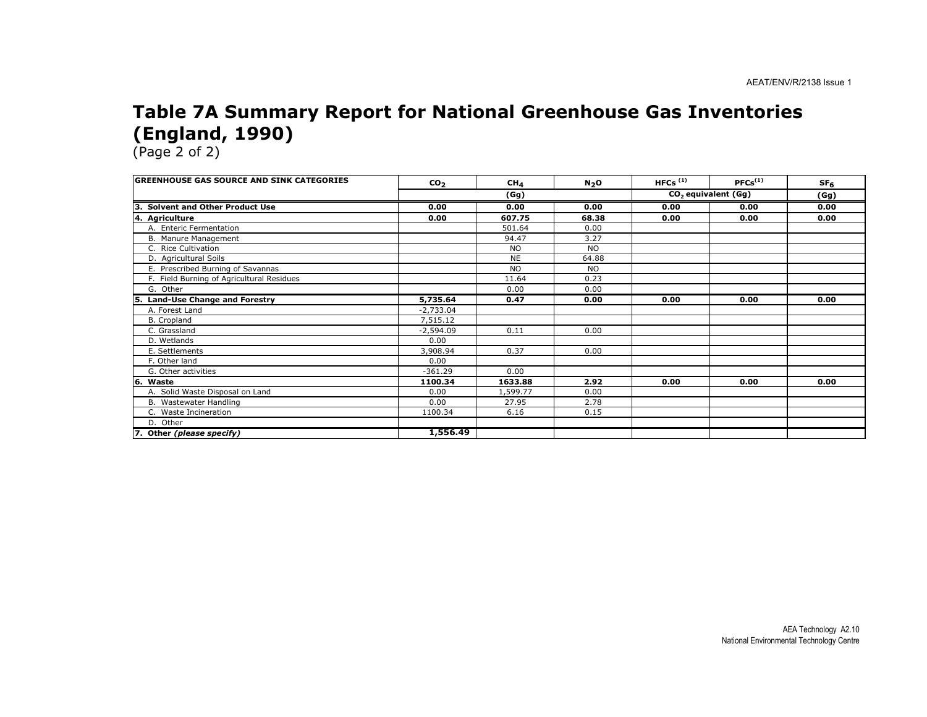#### Table 7A Summary Report for National Greenhouse Gas Inventories (England, 1990)

| <b>IGREENHOUSE GAS SOURCE AND SINK CATEGORIES</b> | CO <sub>2</sub> | CH <sub>4</sub> | N <sub>2</sub> O | HFCs $(1)$            | $PFCs^{(1)}$ | SF <sub>6</sub> |
|---------------------------------------------------|-----------------|-----------------|------------------|-----------------------|--------------|-----------------|
|                                                   | (Gg)            |                 |                  | $CO2$ equivalent (Gg) |              | (Gg)            |
| <b>Solvent and Other Product Use</b><br>ΙЗ.       | 0.00            | 0.00            | 0.00             | 0.00                  | 0.00         | 0.00            |
| 4. Agriculture                                    | 0.00            | 607.75          | 68.38            | 0.00                  | 0.00         | 0.00            |
| A. Enteric Fermentation                           |                 | 501.64          | 0.00             |                       |              |                 |
| B. Manure Management                              |                 | 94.47           | 3.27             |                       |              |                 |
| C. Rice Cultivation                               |                 | <b>NO</b>       | <b>NO</b>        |                       |              |                 |
| D. Agricultural Soils                             |                 | <b>NE</b>       | 64.88            |                       |              |                 |
| E. Prescribed Burning of Savannas                 |                 | <b>NO</b>       | <b>NO</b>        |                       |              |                 |
| F. Field Burning of Agricultural Residues         |                 | 11.64           | 0.23             |                       |              |                 |
| G. Other                                          |                 | 0.00            | 0.00             |                       |              |                 |
| <b>Land-Use Change and Forestry</b><br>15.        | 5,735.64        | 0.47            | 0.00             | 0.00                  | 0.00         | 0.00            |
| A. Forest Land                                    | -2,733.04       |                 |                  |                       |              |                 |
| <b>B.</b> Cropland                                | 7,515.12        |                 |                  |                       |              |                 |
| C. Grassland                                      | $-2,594.09$     | 0.11            | 0.00             |                       |              |                 |
| D. Wetlands                                       | 0.00            |                 |                  |                       |              |                 |
| E. Settlements                                    | 3,908.94        | 0.37            | 0.00             |                       |              |                 |
| F. Other land                                     | 0.00            |                 |                  |                       |              |                 |
| G. Other activities                               | $-361.29$       | 0.00            |                  |                       |              |                 |
| 16.<br>Waste                                      | 1100.34         | 1633.88         | 2.92             | 0.00                  | 0.00         | 0.00            |
| A. Solid Waste Disposal on Land                   | 0.00            | 1,599.77        | 0.00             |                       |              |                 |
| B. Wastewater Handling                            | 0.00            | 27.95           | 2.78             |                       |              |                 |
| C. Waste Incineration                             | 1100.34         | 6.16            | 0.15             |                       |              |                 |
| D. Other                                          |                 |                 |                  |                       |              |                 |
| 7. Other (please specify)                         | 1,556.49        |                 |                  |                       |              |                 |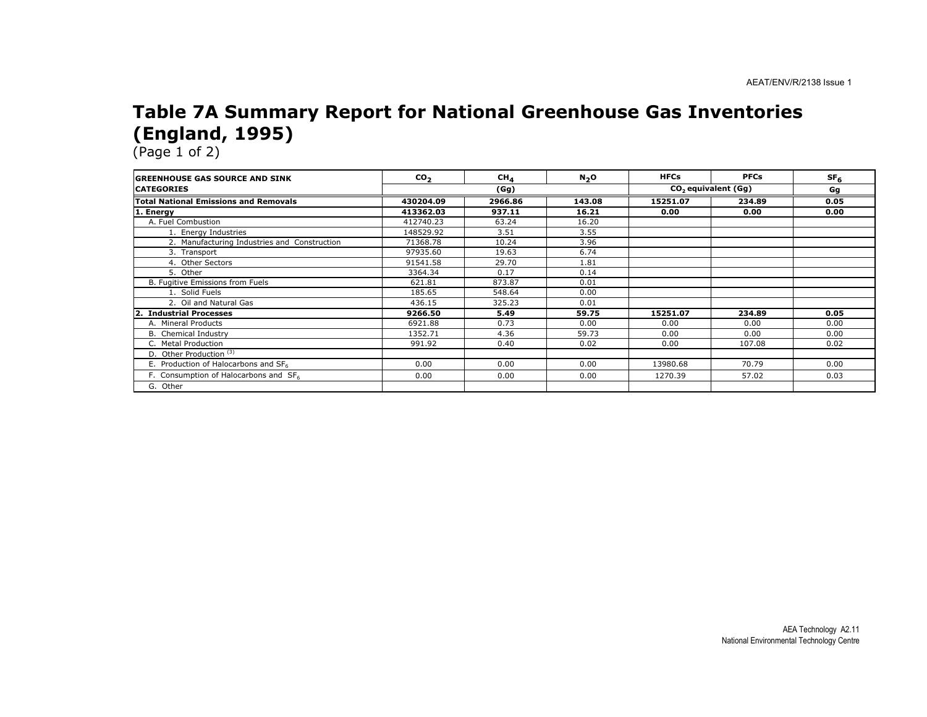#### Table 7A Summary Report for National Greenhouse Gas Inventories (England, 1995)

| <b>GREENHOUSE GAS SOURCE AND SINK</b>             | CO <sub>2</sub> | CH <sub>A</sub> | N <sub>2</sub> O | <b>HFCs</b>                     | <b>PFCs</b> | SF <sub>6</sub> |
|---------------------------------------------------|-----------------|-----------------|------------------|---------------------------------|-------------|-----------------|
| <b>CATEGORIES</b>                                 |                 | (Gg)            |                  | CO <sub>2</sub> equivalent (Gq) |             | Gg              |
| <b>Total National Emissions and Removals</b>      | 430204.09       | 2966.86         | 143.08           | 15251.07                        | 234.89      | 0.05            |
| 1. Energy                                         | 413362.03       | 937.11          | 16.21            | 0.00                            | 0.00        | 0.00            |
| A. Fuel Combustion                                | 412740.23       | 63.24           | 16.20            |                                 |             |                 |
| 1. Energy Industries                              | 148529.92       | 3.51            | 3.55             |                                 |             |                 |
| 2. Manufacturing Industries and Construction      | 71368.78        | 10.24           | 3.96             |                                 |             |                 |
| 3. Transport                                      | 97935.60        | 19.63           | 6.74             |                                 |             |                 |
| 4. Other Sectors                                  | 91541.58        | 29.70           | 1.81             |                                 |             |                 |
| 5. Other                                          | 3364.34         | 0.17            | 0.14             |                                 |             |                 |
| B. Fugitive Emissions from Fuels                  | 621.81          | 873.87          | 0.01             |                                 |             |                 |
| 1. Solid Fuels                                    | 185.65          | 548.64          | 0.00             |                                 |             |                 |
| 2. Oil and Natural Gas                            | 436.15          | 325.23          | 0.01             |                                 |             |                 |
| <b>Industrial Processes</b>                       | 9266.50         | 5.49            | 59.75            | 15251.07                        | 234.89      | 0.05            |
| A. Mineral Products                               | 6921.88         | 0.73            | 0.00             | 0.00                            | 0.00        | 0.00            |
| <b>B.</b> Chemical Industry                       | 1352.71         | 4.36            | 59.73            | 0.00                            | 0.00        | 0.00            |
| C. Metal Production                               | 991.92          | 0.40            | 0.02             | 0.00                            | 107.08      | 0.02            |
| D. Other Production <sup>(3)</sup>                |                 |                 |                  |                                 |             |                 |
| E. Production of Halocarbons and SF <sub>6</sub>  | 0.00            | 0.00            | 0.00             | 13980.68                        | 70.79       | 0.00            |
| F. Consumption of Halocarbons and SF <sub>6</sub> | 0.00            | 0.00            | 0.00             | 1270.39                         | 57.02       | 0.03            |
| G. Other                                          |                 |                 |                  |                                 |             |                 |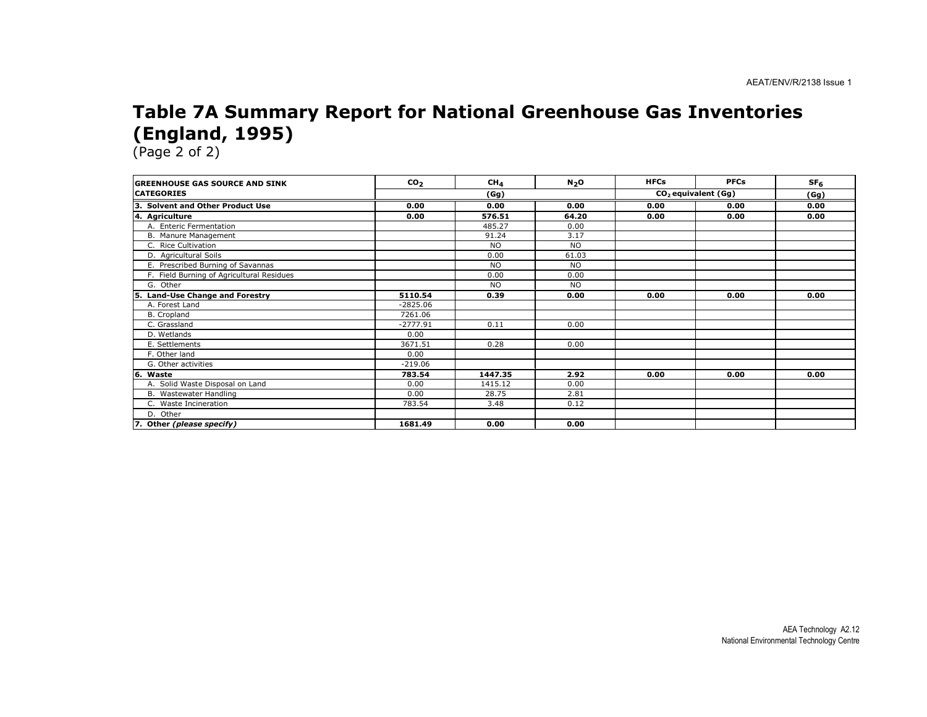#### Table 7A Summary Report for National Greenhouse Gas Inventories (England, 1995)

| <b>GREENHOUSE GAS SOURCE AND SINK</b>     | CO <sub>2</sub> | CH <sub>4</sub> | N <sub>2</sub> O | <b>HFCs</b>           | <b>PFCs</b> | SF <sub>6</sub> |
|-------------------------------------------|-----------------|-----------------|------------------|-----------------------|-------------|-----------------|
| <b>CATEGORIES</b>                         |                 | (Gg)            |                  | $CO2$ equivalent (Gg) | (Gg)        |                 |
| 3. Solvent and Other Product Use          | 0.00            | 0.00            | 0.00             | 0.00                  | 0.00        | 0.00            |
| 4. Agriculture                            | 0.00            | 576.51          | 64.20            | 0.00                  | 0.00        | 0.00            |
| A. Enteric Fermentation                   |                 | 485.27          | 0.00             |                       |             |                 |
| B. Manure Management                      |                 | 91.24           | 3.17             |                       |             |                 |
| C. Rice Cultivation                       |                 | <b>NO</b>       | <b>NO</b>        |                       |             |                 |
| D. Agricultural Soils                     |                 | 0.00            | 61.03            |                       |             |                 |
| E. Prescribed Burning of Savannas         |                 | <b>NO</b>       | <b>NO</b>        |                       |             |                 |
| F. Field Burning of Agricultural Residues |                 | 0.00            | 0.00             |                       |             |                 |
| G. Other                                  |                 | <b>NO</b>       | <b>NO</b>        |                       |             |                 |
| <b>Land-Use Change and Forestry</b><br>5. | 5110.54         | 0.39            | 0.00             | 0.00                  | 0.00        | 0.00            |
| A. Forest Land                            | $-2825.06$      |                 |                  |                       |             |                 |
| B. Cropland                               | 7261.06         |                 |                  |                       |             |                 |
| C. Grassland                              | $-2777.91$      | 0.11            | 0.00             |                       |             |                 |
| D. Wetlands                               | 0.00            |                 |                  |                       |             |                 |
| E. Settlements                            | 3671.51         | 0.28            | 0.00             |                       |             |                 |
| F. Other land                             | 0.00            |                 |                  |                       |             |                 |
| G. Other activities                       | $-219.06$       |                 |                  |                       |             |                 |
| 6.<br>Waste                               | 783.54          | 1447.35         | 2.92             | 0.00                  | 0.00        | 0.00            |
| A. Solid Waste Disposal on Land           | 0.00            | 1415.12         | 0.00             |                       |             |                 |
| B. Wastewater Handling                    | 0.00            | 28.75           | 2.81             |                       |             |                 |
| C. Waste Incineration                     | 783.54          | 3.48            | 0.12             |                       |             |                 |
| D. Other                                  |                 |                 |                  |                       |             |                 |
| 7. Other (please specify)                 | 1681.49         | 0.00            | 0.00             |                       |             |                 |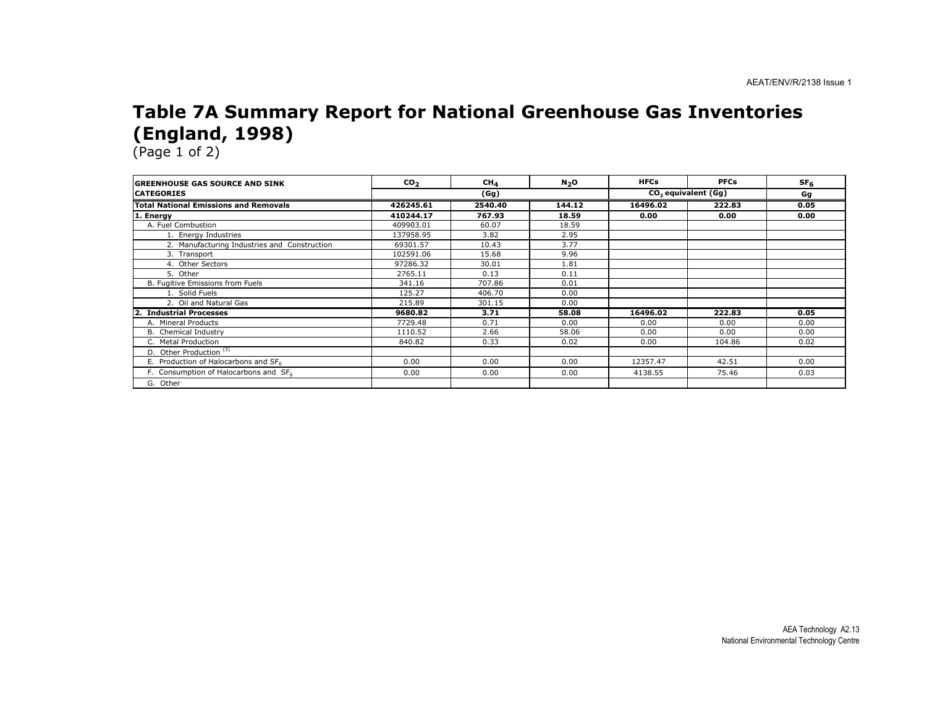#### Table 7A Summary Report for National Greenhouse Gas Inventories (England, 1998)

| <b>GREENHOUSE GAS SOURCE AND SINK</b>        | $\mathbf{co}_2$ | CH <sub>4</sub> | N <sub>2</sub> O | <b>HFCs</b> | <b>PFCs</b>           | SF <sub>6</sub> |
|----------------------------------------------|-----------------|-----------------|------------------|-------------|-----------------------|-----------------|
| <b>CATEGORIES</b>                            |                 | (Gg)            |                  |             | $CO2$ equivalent (Gq) |                 |
| <b>Total National Emissions and Removals</b> | 426245.61       | 2540.40         | 144.12           | 16496.02    | 222.83                | 0.05            |
| 1. Energy                                    | 410244.17       | 767.93          | 18.59            | 0.00        | 0.00                  | 0.00            |
| A. Fuel Combustion                           | 409903.01       | 60.07           | 18.59            |             |                       |                 |
| 1. Energy Industries                         | 137958.95       | 3.82            | 2.95             |             |                       |                 |
| 2. Manufacturing Industries and Construction | 69301.57        | 10.43           | 3.77             |             |                       |                 |
| 3. Transport                                 | 102591.06       | 15.68           | 9.96             |             |                       |                 |
| 4. Other Sectors                             | 97286.32        | 30.01           | 1.81             |             |                       |                 |
| 5. Other                                     | 2765.11         | 0.13            | 0.11             |             |                       |                 |
| B. Fugitive Emissions from Fuels             | 341.16          | 707.86          | 0.01             |             |                       |                 |
| 1. Solid Fuels                               | 125.27          | 406.70          | 0.00             |             |                       |                 |
| 2. Oil and Natural Gas                       | 215.89          | 301.15          | 0.00             |             |                       |                 |
| <b>Industrial Processes</b>                  | 9680.82         | 3.71            | 58.08            | 16496.02    | 222.83                | 0.05            |
| A. Mineral Products                          | 7729.48         | 0.71            | 0.00             | 0.00        | 0.00                  | 0.00            |
| B. Chemical Industry                         | 1110.52         | 2.66            | 58.06            | 0.00        | 0.00                  | 0.00            |
| C. Metal Production                          | 840.82          | 0.33            | 0.02             | 0.00        | 104.86                | 0.02            |
| D. Other Production <sup>(3)</sup>           |                 |                 |                  |             |                       |                 |
| E. Production of Halocarbons and SF6         | 0.00            | 0.00            | 0.00             | 12357.47    | 42.51                 | 0.00            |
| F. Consumption of Halocarbons and SF6        | 0.00            | 0.00            | 0.00             | 4138.55     | 75.46                 | 0.03            |
| G. Other                                     |                 |                 |                  |             |                       |                 |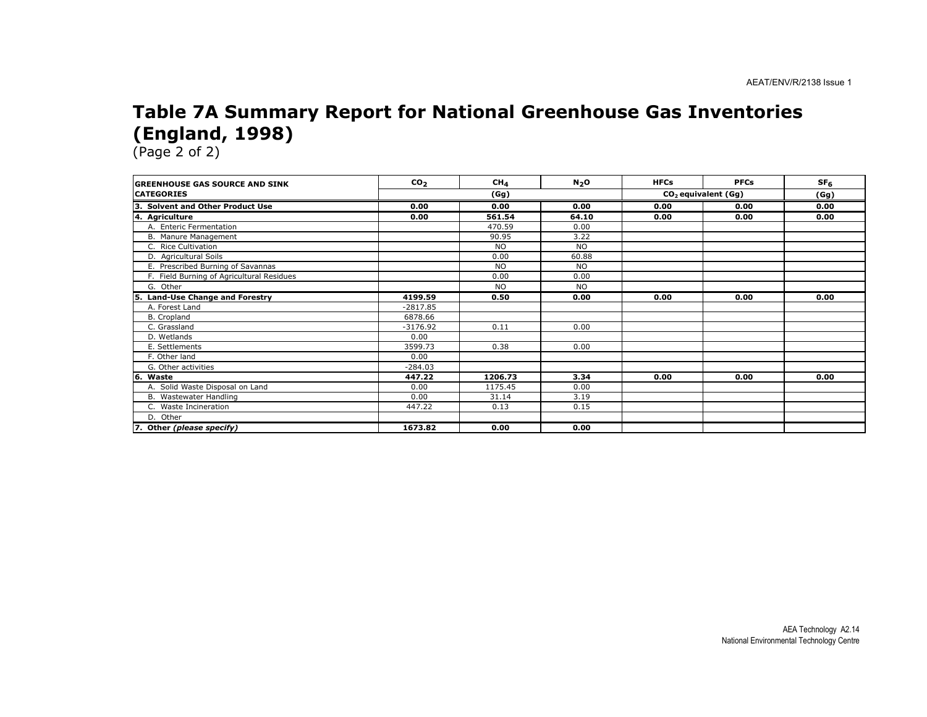#### Table 7A Summary Report for National Greenhouse Gas Inventories (England, 1998)

| <b>IGREENHOUSE GAS SOURCE AND SINK</b>     | CO <sub>2</sub> | CH <sub>4</sub> | N <sub>2</sub> O | <b>HFCs</b> | <b>PFCs</b>           | SF <sub>6</sub> |
|--------------------------------------------|-----------------|-----------------|------------------|-------------|-----------------------|-----------------|
| <b>CATEGORIES</b>                          | (Gg)            |                 |                  |             | $CO2$ equivalent (Gg) |                 |
| lз<br><b>Solvent and Other Product Use</b> | 0.00            | 0.00            | 0.00             | 0.00        | 0.00                  | 0.00            |
| 4. Agriculture                             | 0.00            | 561.54          | 64.10            | 0.00        | 0.00                  | 0.00            |
| A. Enteric Fermentation                    |                 | 470.59          | 0.00             |             |                       |                 |
| B. Manure Management                       |                 | 90.95           | 3.22             |             |                       |                 |
| C. Rice Cultivation                        |                 | <b>NO</b>       | N <sub>O</sub>   |             |                       |                 |
| D. Agricultural Soils                      |                 | 0.00            | 60.88            |             |                       |                 |
| E. Prescribed Burning of Savannas          |                 | <b>NO</b>       | <b>NO</b>        |             |                       |                 |
| F. Field Burning of Agricultural Residues  |                 | 0.00            | 0.00             |             |                       |                 |
| G. Other                                   |                 | <b>NO</b>       | <b>NO</b>        |             |                       |                 |
| Land-Use Change and Forestry<br>Ι5.        | 4199.59         | 0.50            | 0.00             | 0.00        | 0.00                  | 0.00            |
| A. Forest Land                             | $-2817.85$      |                 |                  |             |                       |                 |
| B. Cropland                                | 6878.66         |                 |                  |             |                       |                 |
| C. Grassland                               | $-3176.92$      | 0.11            | 0.00             |             |                       |                 |
| D. Wetlands                                | 0.00            |                 |                  |             |                       |                 |
| E. Settlements                             | 3599.73         | 0.38            | 0.00             |             |                       |                 |
| F. Other land                              | 0.00            |                 |                  |             |                       |                 |
| G. Other activities                        | $-284.03$       |                 |                  |             |                       |                 |
| l6.<br>Waste                               | 447.22          | 1206.73         | 3.34             | 0.00        | 0.00                  | 0.00            |
| A. Solid Waste Disposal on Land            | 0.00            | 1175.45         | 0.00             |             |                       |                 |
| B. Wastewater Handling                     | 0.00            | 31.14           | 3.19             |             |                       |                 |
| C. Waste Incineration                      | 447.22          | 0.13            | 0.15             |             |                       |                 |
| D. Other                                   |                 |                 |                  |             |                       |                 |
| 7. Other (please specify)                  | 1673.82         | 0.00            | 0.00             |             |                       |                 |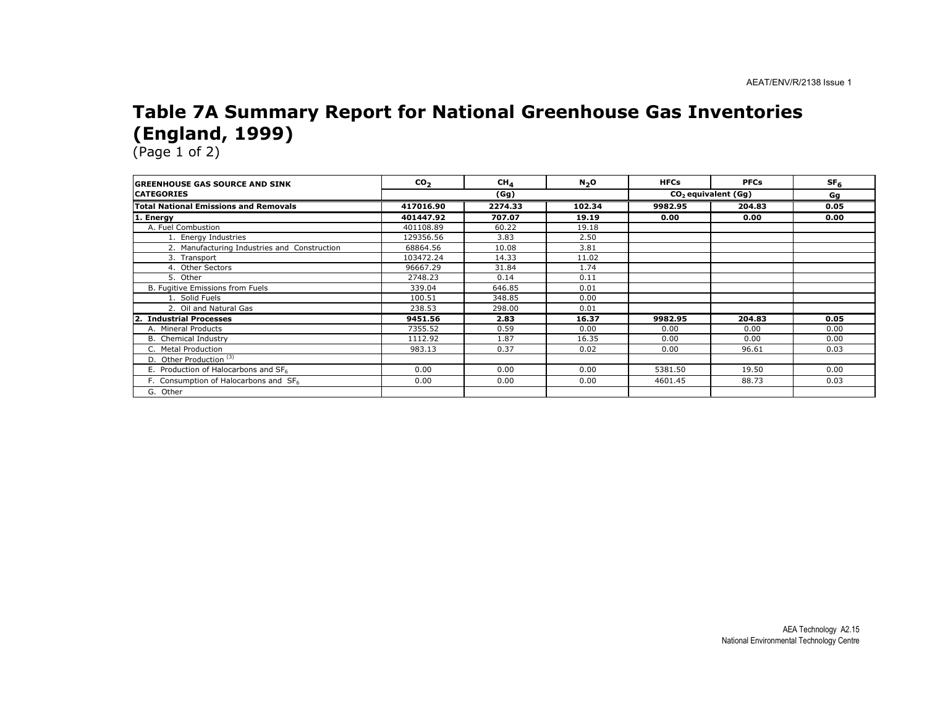#### Table 7A Summary Report for National Greenhouse Gas Inventories (England, 1999)

| <b>IGREENHOUSE GAS SOURCE AND SINK</b>            | co <sub>2</sub> | CH <sub>4</sub> | N <sub>2</sub> O | <b>HFCs</b> | <b>PFCs</b>                     | SF <sub>6</sub> |
|---------------------------------------------------|-----------------|-----------------|------------------|-------------|---------------------------------|-----------------|
| <b>CATEGORIES</b>                                 |                 | (Gg)            |                  |             | CO <sub>2</sub> equivalent (Gg) |                 |
| <b>Total National Emissions and Removals</b>      | 417016.90       | 2274.33         | 102.34           | 9982.95     | 204.83                          | 0.05            |
| 1. Energy                                         | 401447.92       | 707.07          | 19.19            | 0.00        | 0.00                            | 0.00            |
| A. Fuel Combustion                                | 401108.89       | 60.22           | 19.18            |             |                                 |                 |
| 1. Energy Industries                              | 129356.56       | 3.83            | 2.50             |             |                                 |                 |
| 2. Manufacturing Industries and Construction      | 68864.56        | 10.08           | 3.81             |             |                                 |                 |
| 3. Transport                                      | 103472.24       | 14.33           | 11.02            |             |                                 |                 |
| 4. Other Sectors                                  | 96667.29        | 31.84           | 1.74             |             |                                 |                 |
| 5. Other                                          | 2748.23         | 0.14            | 0.11             |             |                                 |                 |
| B. Fugitive Emissions from Fuels                  | 339.04          | 646.85          | 0.01             |             |                                 |                 |
| 1. Solid Fuels                                    | 100.51          | 348.85          | 0.00             |             |                                 |                 |
| 2. Oil and Natural Gas                            | 238.53          | 298.00          | 0.01             |             |                                 |                 |
| I2.<br><b>Industrial Processes</b>                | 9451.56         | 2.83            | 16.37            | 9982.95     | 204.83                          | 0.05            |
| A. Mineral Products                               | 7355.52         | 0.59            | 0.00             | 0.00        | 0.00                            | 0.00            |
| <b>B.</b> Chemical Industry                       | 1112.92         | 1.87            | 16.35            | 0.00        | 0.00                            | 0.00            |
| C. Metal Production                               | 983.13          | 0.37            | 0.02             | 0.00        | 96.61                           | 0.03            |
| D. Other Production <sup>(3)</sup>                |                 |                 |                  |             |                                 |                 |
| E. Production of Halocarbons and SF6              | 0.00            | 0.00            | 0.00             | 5381.50     | 19.50                           | 0.00            |
| F. Consumption of Halocarbons and SF <sub>6</sub> | 0.00            | 0.00            | 0.00             | 4601.45     | 88.73                           | 0.03            |
| G. Other                                          |                 |                 |                  |             |                                 |                 |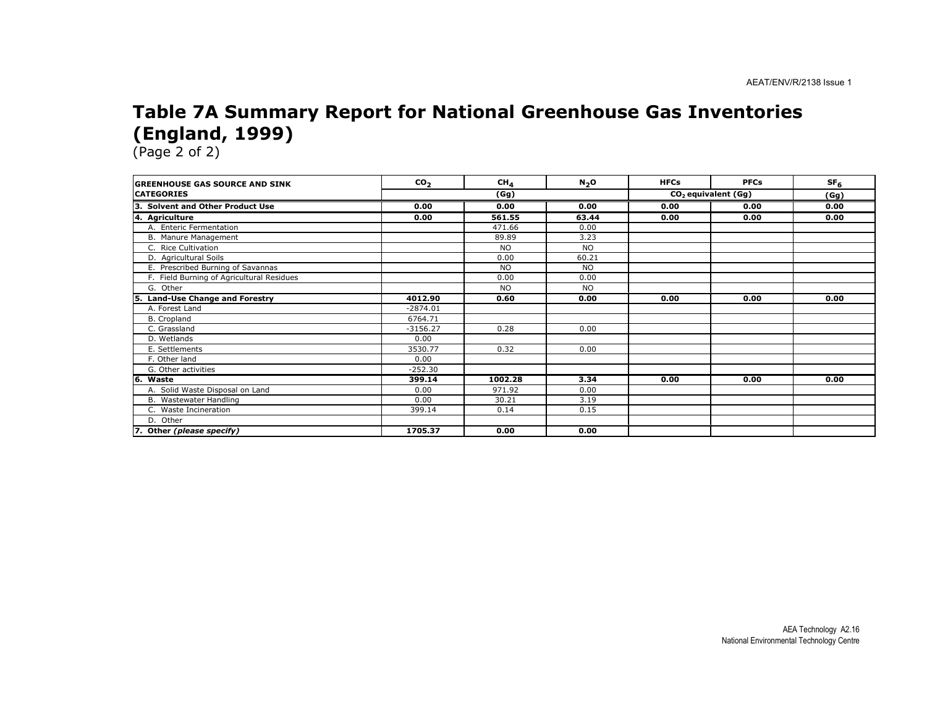#### Table 7A Summary Report for National Greenhouse Gas Inventories (England, 1999)

| <b>GREENHOUSE GAS SOURCE AND SINK</b>       | CO <sub>2</sub> | CH <sub>4</sub> | N <sub>2</sub> O | <b>HFCs</b> | <b>PFCs</b>                     | SF <sub>6</sub> |
|---------------------------------------------|-----------------|-----------------|------------------|-------------|---------------------------------|-----------------|
| <b>CATEGORIES</b>                           | (Gg)            |                 |                  |             | CO <sub>2</sub> equivalent (Gg) |                 |
| ΙЗ.<br><b>Solvent and Other Product Use</b> | 0.00            | 0.00            | 0.00             | 0.00        | 0.00                            | 0.00            |
| 4. Agriculture                              | 0.00            | 561.55          | 63.44            | 0.00        | 0.00                            | 0.00            |
| A. Enteric Fermentation                     |                 | 471.66          | 0.00             |             |                                 |                 |
| B. Manure Management                        |                 | 89.89           | 3.23             |             |                                 |                 |
| C. Rice Cultivation                         |                 | <b>NO</b>       | <b>NO</b>        |             |                                 |                 |
| D. Agricultural Soils                       |                 | 0.00            | 60.21            |             |                                 |                 |
| E. Prescribed Burning of Savannas           |                 | <b>NO</b>       | <b>NO</b>        |             |                                 |                 |
| F. Field Burning of Agricultural Residues   |                 | 0.00            | 0.00             |             |                                 |                 |
| G. Other                                    |                 | <b>NO</b>       | <b>NO</b>        |             |                                 |                 |
| <b>Land-Use Change and Forestry</b><br>l5.  | 4012.90         | 0.60            | 0.00             | 0.00        | 0.00                            | 0.00            |
| A. Forest Land                              | $-2874.01$      |                 |                  |             |                                 |                 |
| B. Cropland                                 | 6764.71         |                 |                  |             |                                 |                 |
| C. Grassland                                | $-3156.27$      | 0.28            | 0.00             |             |                                 |                 |
| D. Wetlands                                 | 0.00            |                 |                  |             |                                 |                 |
| E. Settlements                              | 3530.77         | 0.32            | 0.00             |             |                                 |                 |
| F. Other land                               | 0.00            |                 |                  |             |                                 |                 |
| G. Other activities                         | $-252.30$       |                 |                  |             |                                 |                 |
| 16.<br>Waste                                | 399.14          | 1002.28         | 3.34             | 0.00        | 0.00                            | 0.00            |
| A. Solid Waste Disposal on Land             | 0.00            | 971.92          | 0.00             |             |                                 |                 |
| B. Wastewater Handling                      | 0.00            | 30.21           | 3.19             |             |                                 |                 |
| C. Waste Incineration                       | 399.14          | 0.14            | 0.15             |             |                                 |                 |
| D. Other                                    |                 |                 |                  |             |                                 |                 |
| 7. Other (please specify)                   | 1705.37         | 0.00            | 0.00             |             |                                 |                 |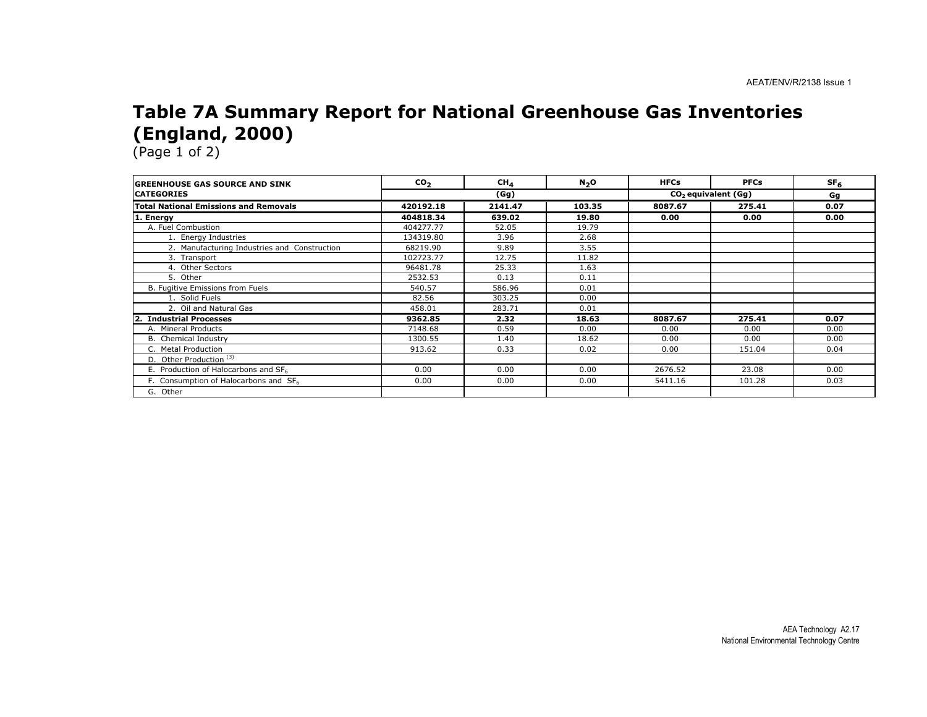#### Table 7A Summary Report for National Greenhouse Gas Inventories (England, 2000)

| <b>IGREENHOUSE GAS SOURCE AND SINK</b>           | CO <sub>2</sub> | CH <sub>4</sub> | N <sub>2</sub> O | <b>HFCs</b> | <b>PFCs</b>                     | SF <sub>6</sub> |
|--------------------------------------------------|-----------------|-----------------|------------------|-------------|---------------------------------|-----------------|
| <b>ICATEGORIES</b>                               |                 | (Gg)            |                  |             | CO <sub>2</sub> equivalent (Gq) |                 |
| <b>Total National Emissions and Removals</b>     | 420192.18       | 2141.47         | 103.35           | 8087.67     | 275.41                          | 0.07            |
| 1. Energy                                        | 404818.34       | 639.02          | 19.80            | 0.00        | 0.00                            | 0.00            |
| A. Fuel Combustion                               | 404277.77       | 52.05           | 19.79            |             |                                 |                 |
| 1. Energy Industries                             | 134319.80       | 3.96            | 2.68             |             |                                 |                 |
| 2. Manufacturing Industries and Construction     | 68219.90        | 9.89            | 3.55             |             |                                 |                 |
| 3. Transport                                     | 102723.77       | 12.75           | 11.82            |             |                                 |                 |
| 4. Other Sectors                                 | 96481.78        | 25.33           | 1.63             |             |                                 |                 |
| 5. Other                                         | 2532.53         | 0.13            | 0.11             |             |                                 |                 |
| B. Fugitive Emissions from Fuels                 | 540.57          | 586.96          | 0.01             |             |                                 |                 |
| 1. Solid Fuels                                   | 82.56           | 303.25          | 0.00             |             |                                 |                 |
| 2. Oil and Natural Gas                           | 458.01          | 283.71          | 0.01             |             |                                 |                 |
| <b>Industrial Processes</b><br>$\mathbf{2}$ .    | 9362.85         | 2.32            | 18.63            | 8087.67     | 275.41                          | 0.07            |
| A. Mineral Products                              | 7148.68         | 0.59            | 0.00             | 0.00        | 0.00                            | 0.00            |
| B. Chemical Industry                             | 1300.55         | 1.40            | 18.62            | 0.00        | 0.00                            | 0.00            |
| C. Metal Production                              | 913.62          | 0.33            | 0.02             | 0.00        | 151.04                          | 0.04            |
| D. Other Production <sup>(3)</sup>               |                 |                 |                  |             |                                 |                 |
| E. Production of Halocarbons and SF <sub>6</sub> | 0.00            | 0.00            | 0.00             | 2676.52     | 23.08                           | 0.00            |
| F. Consumption of Halocarbons and SF6            | 0.00            | 0.00            | 0.00             | 5411.16     | 101.28                          | 0.03            |
| G. Other                                         |                 |                 |                  |             |                                 |                 |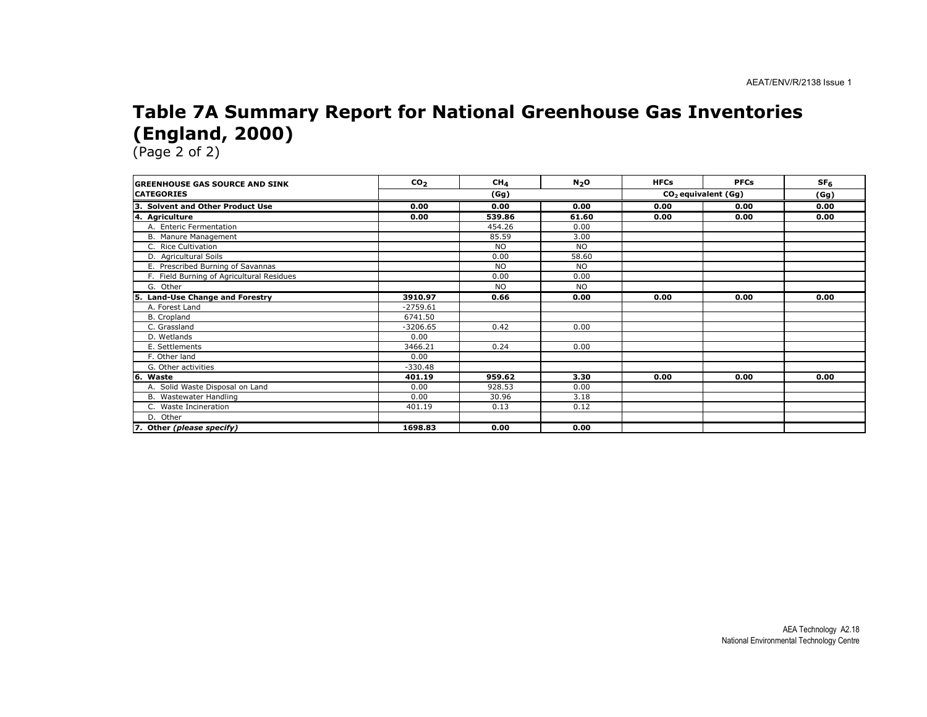#### Table 7A Summary Report for National Greenhouse Gas Inventories (England, 2000)

| <b>GREENHOUSE GAS SOURCE AND SINK</b>     | CO <sub>2</sub> | CH <sub>4</sub> | N <sub>2</sub> O | <b>HFCs</b> | <b>PFCs</b>           | SF <sub>6</sub> |
|-------------------------------------------|-----------------|-----------------|------------------|-------------|-----------------------|-----------------|
| <b>CATEGORIES</b>                         |                 | (Gg)            |                  |             | $CO2$ equivalent (Gg) |                 |
| 3. Solvent and Other Product Use          | 0.00            | 0.00            | 0.00             | 0.00        | 0.00                  | 0.00            |
| 4. Agriculture                            | 0.00            | 539.86          | 61.60            | 0.00        | 0.00                  | 0.00            |
| A. Enteric Fermentation                   |                 | 454.26          | 0.00             |             |                       |                 |
| B. Manure Management                      |                 | 85.59           | 3.00             |             |                       |                 |
| C. Rice Cultivation                       |                 | <b>NO</b>       | <b>NO</b>        |             |                       |                 |
| D. Agricultural Soils                     |                 | 0.00            | 58.60            |             |                       |                 |
| E. Prescribed Burning of Savannas         |                 | <b>NO</b>       | <b>NO</b>        |             |                       |                 |
| F. Field Burning of Agricultural Residues |                 | 0.00            | 0.00             |             |                       |                 |
| G. Other                                  |                 | <b>NO</b>       | <b>NO</b>        |             |                       |                 |
| Land-Use Change and Forestry<br>5.        | 3910.97         | 0.66            | 0.00             | 0.00        | 0.00                  | 0.00            |
| A. Forest Land                            | $-2759.61$      |                 |                  |             |                       |                 |
| B. Cropland                               | 6741.50         |                 |                  |             |                       |                 |
| C. Grassland                              | $-3206.65$      | 0.42            | 0.00             |             |                       |                 |
| D. Wetlands                               | 0.00            |                 |                  |             |                       |                 |
| E. Settlements                            | 3466.21         | 0.24            | 0.00             |             |                       |                 |
| F. Other land                             | 0.00            |                 |                  |             |                       |                 |
| G. Other activities                       | $-330.48$       |                 |                  |             |                       |                 |
| l6.<br>Waste                              | 401.19          | 959.62          | 3.30             | 0.00        | 0.00                  | 0.00            |
| A. Solid Waste Disposal on Land           | 0.00            | 928.53          | 0.00             |             |                       |                 |
| B. Wastewater Handling                    | 0.00            | 30.96           | 3.18             |             |                       |                 |
| C. Waste Incineration                     | 401.19          | 0.13            | 0.12             |             |                       |                 |
| D. Other                                  |                 |                 |                  |             |                       |                 |
| 7. Other (please specify)                 | 1698.83         | 0.00            | 0.00             |             |                       |                 |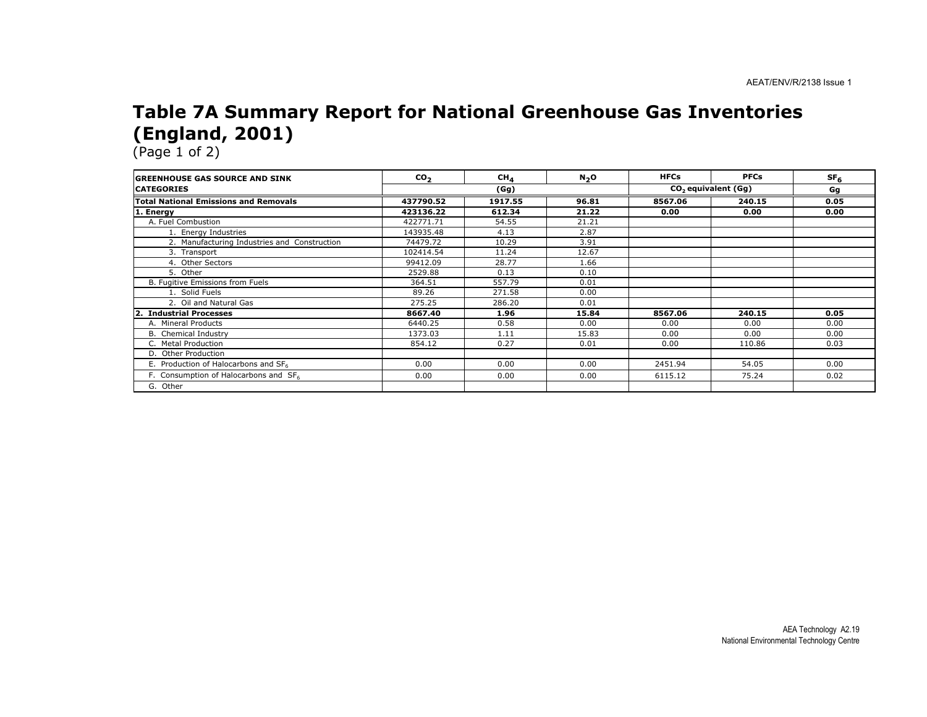#### Table 7A Summary Report for National Greenhouse Gas Inventories (England, 2001)

| <b>IGREENHOUSE GAS SOURCE AND SINK</b>       | CO <sub>2</sub> | CH <sub>4</sub> | N <sub>2</sub> O | <b>HFCs</b> | <b>PFCs</b>                     | SF <sub>6</sub> |
|----------------------------------------------|-----------------|-----------------|------------------|-------------|---------------------------------|-----------------|
| <b>CATEGORIES</b>                            |                 | (Gg)            |                  |             | CO <sub>2</sub> equivalent (Gq) | Gg              |
| <b>Total National Emissions and Removals</b> | 437790.52       | 1917.55         | 96.81            | 8567.06     | 240.15                          | 0.05            |
| . Energy                                     | 423136.22       | 612.34          | 21.22            | 0.00        | 0.00                            | 0.00            |
| A. Fuel Combustion                           | 422771.71       | 54.55           | 21.21            |             |                                 |                 |
| 1. Energy Industries                         | 143935.48       | 4.13            | 2.87             |             |                                 |                 |
| 2. Manufacturing Industries and Construction | 74479.72        | 10.29           | 3.91             |             |                                 |                 |
| 3. Transport                                 | 102414.54       | 11.24           | 12.67            |             |                                 |                 |
| 4. Other Sectors                             | 99412.09        | 28.77           | 1.66             |             |                                 |                 |
| 5. Other                                     | 2529.88         | 0.13            | 0.10             |             |                                 |                 |
| B. Fugitive Emissions from Fuels             | 364.51          | 557.79          | 0.01             |             |                                 |                 |
| 1. Solid Fuels                               | 89.26           | 271.58          | 0.00             |             |                                 |                 |
| 2. Oil and Natural Gas                       | 275.25          | 286.20          | 0.01             |             |                                 |                 |
| <b>Industrial Processes</b>                  | 8667.40         | 1.96            | 15.84            | 8567.06     | 240.15                          | 0.05            |
| A. Mineral Products                          | 6440.25         | 0.58            | 0.00             | 0.00        | 0.00                            | 0.00            |
| B. Chemical Industry                         | 1373.03         | 1.11            | 15.83            | 0.00        | 0.00                            | 0.00            |
| C. Metal Production                          | 854.12          | 0.27            | 0.01             | 0.00        | 110.86                          | 0.03            |
| D. Other Production                          |                 |                 |                  |             |                                 |                 |
| E. Production of Halocarbons and SF6         | 0.00            | 0.00            | 0.00             | 2451.94     | 54.05                           | 0.00            |
| F. Consumption of Halocarbons and SF6        | 0.00            | 0.00            | 0.00             | 6115.12     | 75.24                           | 0.02            |
| G. Other                                     |                 |                 |                  |             |                                 |                 |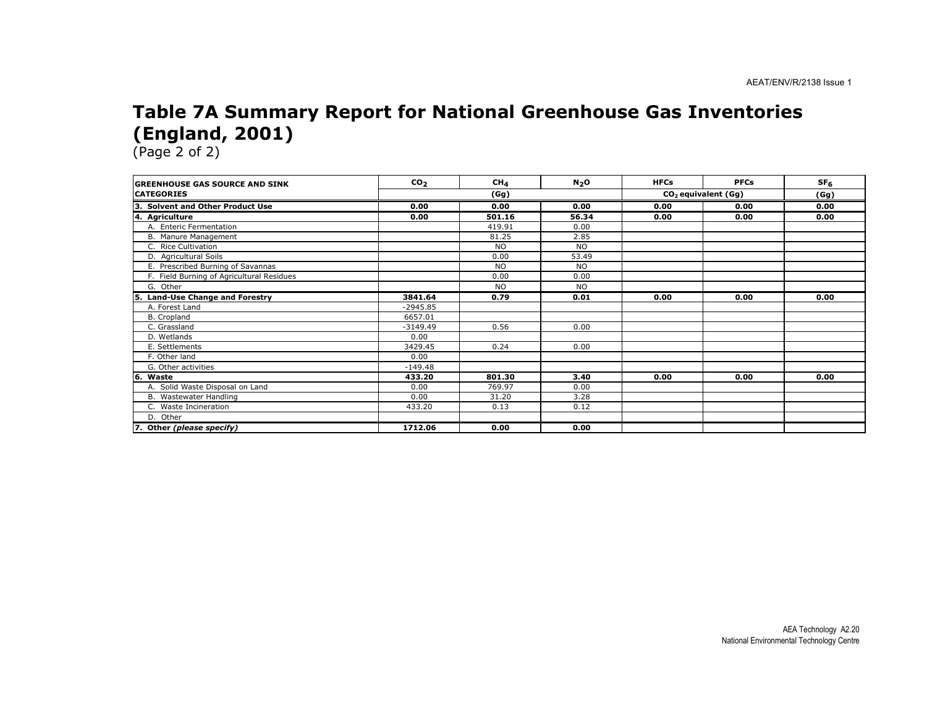#### Table 7A Summary Report for National Greenhouse Gas Inventories (England, 2001)

| <b>GREENHOUSE GAS SOURCE AND SINK</b>     | CO <sub>2</sub> | CH <sub>4</sub> | N <sub>2</sub> O | <b>HFCs</b> | <b>PFCs</b>           | SF <sub>6</sub> |
|-------------------------------------------|-----------------|-----------------|------------------|-------------|-----------------------|-----------------|
| <b>CATEGORIES</b>                         | (Gg)            |                 |                  |             | $CO2$ equivalent (Gg) |                 |
| 3. Solvent and Other Product Use          | 0.00            | 0.00            | 0.00             | 0.00        | 0.00                  | 0.00            |
| 4. Agriculture                            | 0.00            | 501.16          | 56.34            | 0.00        | 0.00                  | 0.00            |
| A. Enteric Fermentation                   |                 | 419.91          | 0.00             |             |                       |                 |
| B. Manure Management                      |                 | 81.25           | 2.85             |             |                       |                 |
| C. Rice Cultivation                       |                 | <b>NO</b>       | <b>NO</b>        |             |                       |                 |
| D. Agricultural Soils                     |                 | 0.00            | 53.49            |             |                       |                 |
| E. Prescribed Burning of Savannas         |                 | <b>NO</b>       | <b>NO</b>        |             |                       |                 |
| F. Field Burning of Agricultural Residues |                 | 0.00            | 0.00             |             |                       |                 |
| G. Other                                  |                 | <b>NO</b>       | <b>NO</b>        |             |                       |                 |
| Land-Use Change and Forestry<br>5.        | 3841.64         | 0.79            | 0.01             | 0.00        | 0.00                  | 0.00            |
| A. Forest Land                            | $-2945.85$      |                 |                  |             |                       |                 |
| B. Cropland                               | 6657.01         |                 |                  |             |                       |                 |
| C. Grassland                              | $-3149.49$      | 0.56            | 0.00             |             |                       |                 |
| D. Wetlands                               | 0.00            |                 |                  |             |                       |                 |
| E. Settlements                            | 3429.45         | 0.24            | 0.00             |             |                       |                 |
| F. Other land                             | 0.00            |                 |                  |             |                       |                 |
| G. Other activities                       | $-149.48$       |                 |                  |             |                       |                 |
| l6.<br>Waste                              | 433.20          | 801.30          | 3.40             | 0.00        | 0.00                  | 0.00            |
| A. Solid Waste Disposal on Land           | 0.00            | 769.97          | 0.00             |             |                       |                 |
| B. Wastewater Handling                    | 0.00            | 31.20           | 3.28             |             |                       |                 |
| C. Waste Incineration                     | 433.20          | 0.13            | 0.12             |             |                       |                 |
| D. Other                                  |                 |                 |                  |             |                       |                 |
| 7. Other (please specify)                 | 1712.06         | 0.00            | 0.00             |             |                       |                 |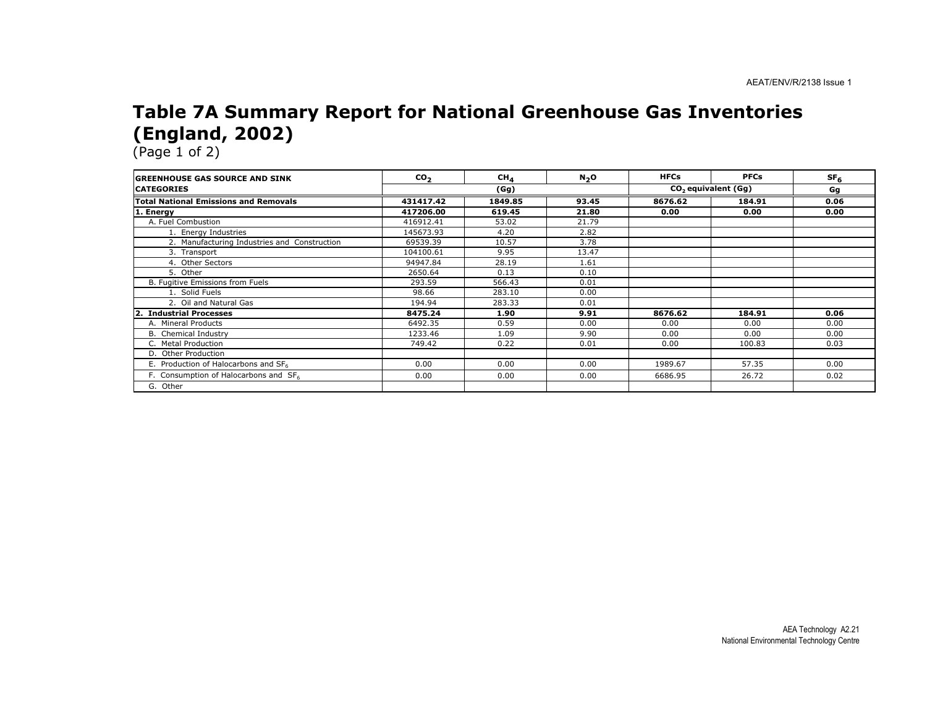#### Table 7A Summary Report for National Greenhouse Gas Inventories (England, 2002)

| <b>IGREENHOUSE GAS SOURCE AND SINK</b>       | CO <sub>2</sub> | CH <sub>4</sub> | N <sub>2</sub> O | <b>HFCs</b> | <b>PFCs</b>                     | SF <sub>6</sub> |
|----------------------------------------------|-----------------|-----------------|------------------|-------------|---------------------------------|-----------------|
| <b>CATEGORIES</b>                            |                 | (Gg)            |                  |             | CO <sub>2</sub> equivalent (Gq) |                 |
| <b>Total National Emissions and Removals</b> | 431417.42       | 1849.85         | 93.45            | 8676.62     | 184.91                          | 0.06            |
| . Energy                                     | 417206.00       | 619.45          | 21.80            | 0.00        | 0.00                            | 0.00            |
| A. Fuel Combustion                           | 416912.41       | 53.02           | 21.79            |             |                                 |                 |
| 1. Energy Industries                         | 145673.93       | 4.20            | 2.82             |             |                                 |                 |
| 2. Manufacturing Industries and Construction | 69539.39        | 10.57           | 3.78             |             |                                 |                 |
| 3. Transport                                 | 104100.61       | 9.95            | 13.47            |             |                                 |                 |
| 4. Other Sectors                             | 94947.84        | 28.19           | 1.61             |             |                                 |                 |
| 5. Other                                     | 2650.64         | 0.13            | 0.10             |             |                                 |                 |
| B. Fugitive Emissions from Fuels             | 293.59          | 566.43          | 0.01             |             |                                 |                 |
| 1. Solid Fuels                               | 98.66           | 283.10          | 0.00             |             |                                 |                 |
| 2. Oil and Natural Gas                       | 194.94          | 283.33          | 0.01             |             |                                 |                 |
| <b>Industrial Processes</b>                  | 8475.24         | 1.90            | 9.91             | 8676.62     | 184.91                          | 0.06            |
| A. Mineral Products                          | 6492.35         | 0.59            | 0.00             | 0.00        | 0.00                            | 0.00            |
| B. Chemical Industry                         | 1233.46         | 1.09            | 9.90             | 0.00        | 0.00                            | 0.00            |
| C. Metal Production                          | 749.42          | 0.22            | 0.01             | 0.00        | 100.83                          | 0.03            |
| D. Other Production                          |                 |                 |                  |             |                                 |                 |
| E. Production of Halocarbons and SF6         | 0.00            | 0.00            | 0.00             | 1989.67     | 57.35                           | 0.00            |
| F. Consumption of Halocarbons and SF6        | 0.00            | 0.00            | 0.00             | 6686.95     | 26.72                           | 0.02            |
| G. Other                                     |                 |                 |                  |             |                                 |                 |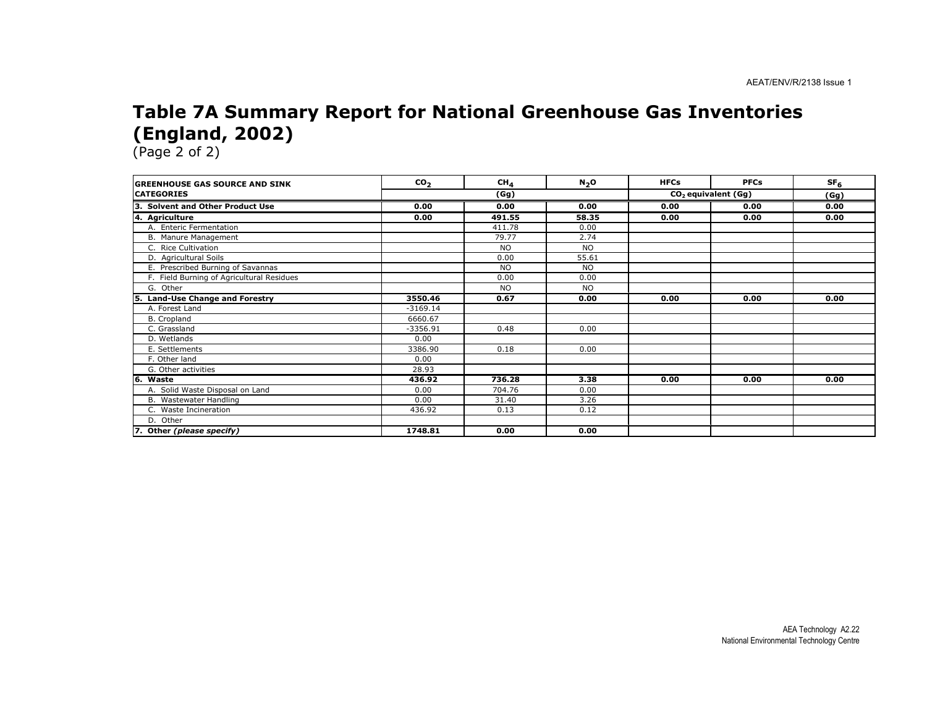#### Table 7A Summary Report for National Greenhouse Gas Inventories (England, 2002)

| <b>IGREENHOUSE GAS SOURCE AND SINK</b>      | co <sub>2</sub> | CH <sub>4</sub> | N <sub>2</sub> O | <b>HFCs</b> | <b>PFCs</b>                     | SF <sub>6</sub> |
|---------------------------------------------|-----------------|-----------------|------------------|-------------|---------------------------------|-----------------|
| <b>ICATEGORIES</b>                          |                 | (Gg)            |                  |             | CO <sub>2</sub> equivalent (Gg) |                 |
| lз.<br><b>Solvent and Other Product Use</b> | 0.00            | 0.00            | 0.00             | 0.00        | 0.00                            | 0.00            |
| 4. Agriculture                              | 0.00            | 491.55          | 58.35            | 0.00        | 0.00                            | 0.00            |
| A. Enteric Fermentation                     |                 | 411.78          | 0.00             |             |                                 |                 |
| B. Manure Management                        |                 | 79.77           | 2.74             |             |                                 |                 |
| C. Rice Cultivation                         |                 | <b>NO</b>       | <b>NO</b>        |             |                                 |                 |
| D. Agricultural Soils                       |                 | 0.00            | 55.61            |             |                                 |                 |
| E. Prescribed Burning of Savannas           |                 | <b>NO</b>       | <b>NO</b>        |             |                                 |                 |
| F. Field Burning of Agricultural Residues   |                 | 0.00            | 0.00             |             |                                 |                 |
| G. Other                                    |                 | <b>NO</b>       | <b>NO</b>        |             |                                 |                 |
| <b>Land-Use Change and Forestry</b><br>l5.  | 3550.46         | 0.67            | 0.00             | 0.00        | 0.00                            | 0.00            |
| A. Forest Land                              | $-3169.14$      |                 |                  |             |                                 |                 |
| B. Cropland                                 | 6660.67         |                 |                  |             |                                 |                 |
| C. Grassland                                | $-3356.91$      | 0.48            | 0.00             |             |                                 |                 |
| D. Wetlands                                 | 0.00            |                 |                  |             |                                 |                 |
| E. Settlements                              | 3386.90         | 0.18            | 0.00             |             |                                 |                 |
| F. Other land                               | 0.00            |                 |                  |             |                                 |                 |
| G. Other activities                         | 28.93           |                 |                  |             |                                 |                 |
| 16.<br>Waste                                | 436.92          | 736.28          | 3.38             | 0.00        | 0.00                            | 0.00            |
| A. Solid Waste Disposal on Land             | 0.00            | 704.76          | 0.00             |             |                                 |                 |
| B. Wastewater Handling                      | 0.00            | 31.40           | 3.26             |             |                                 |                 |
| C. Waste Incineration                       | 436.92          | 0.13            | 0.12             |             |                                 |                 |
| D. Other                                    |                 |                 |                  |             |                                 |                 |
| 7. Other (please specify)                   | 1748.81         | 0.00            | 0.00             |             |                                 |                 |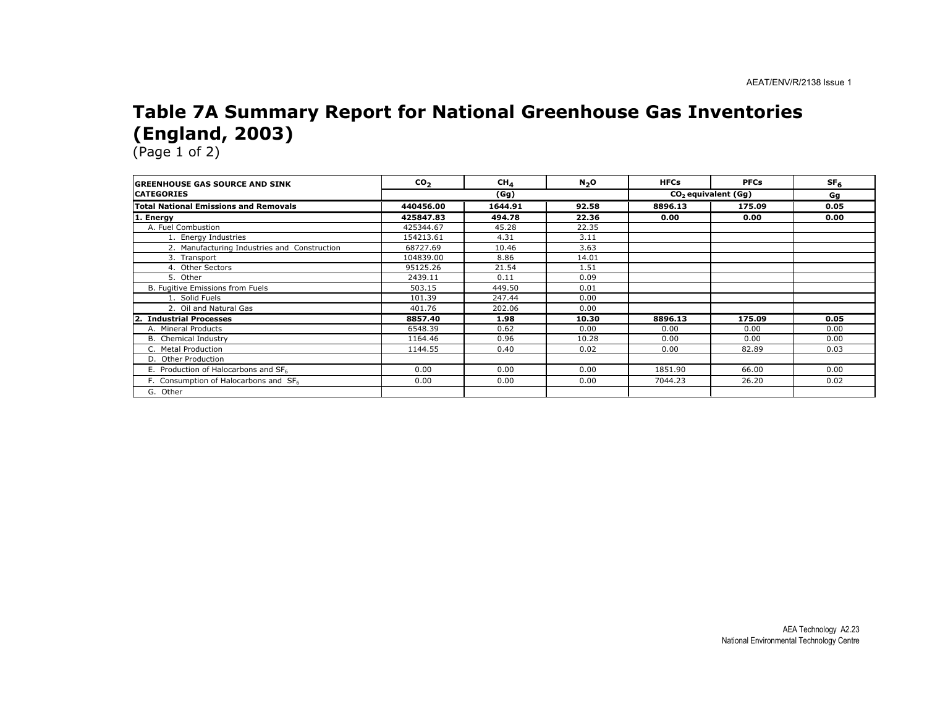#### Table 7A Summary Report for National Greenhouse Gas Inventories (England, 2003)

| <b>IGREENHOUSE GAS SOURCE AND SINK</b>           | CO <sub>2</sub> | CH <sub>4</sub> | N <sub>2</sub> O | <b>HFCs</b> | <b>PFCs</b>                     | SF <sub>6</sub> |
|--------------------------------------------------|-----------------|-----------------|------------------|-------------|---------------------------------|-----------------|
| <b>ICATEGORIES</b>                               |                 | (Gg)            |                  |             | CO <sub>2</sub> equivalent (Gq) |                 |
| <b>Total National Emissions and Removals</b>     | 440456.00       | 1644.91         | 92.58            | 8896.13     | 175.09                          | 0.05            |
| 1. Energy                                        | 425847.83       | 494.78          | 22.36            | 0.00        | 0.00                            | 0.00            |
| A. Fuel Combustion                               | 425344.67       | 45.28           | 22.35            |             |                                 |                 |
| 1. Energy Industries                             | 154213.61       | 4.31            | 3.11             |             |                                 |                 |
| 2. Manufacturing Industries and Construction     | 68727.69        | 10.46           | 3.63             |             |                                 |                 |
| 3. Transport                                     | 104839.00       | 8.86            | 14.01            |             |                                 |                 |
| 4. Other Sectors                                 | 95125.26        | 21.54           | 1.51             |             |                                 |                 |
| 5. Other                                         | 2439.11         | 0.11            | 0.09             |             |                                 |                 |
| B. Fugitive Emissions from Fuels                 | 503.15          | 449.50          | 0.01             |             |                                 |                 |
| 1. Solid Fuels                                   | 101.39          | 247.44          | 0.00             |             |                                 |                 |
| 2. Oil and Natural Gas                           | 401.76          | 202.06          | 0.00             |             |                                 |                 |
| <b>Industrial Processes</b><br>$\mathbf{2}$ .    | 8857.40         | 1.98            | 10.30            | 8896.13     | 175.09                          | 0.05            |
| A. Mineral Products                              | 6548.39         | 0.62            | 0.00             | 0.00        | 0.00                            | 0.00            |
| B. Chemical Industry                             | 1164.46         | 0.96            | 10.28            | 0.00        | 0.00                            | 0.00            |
| C. Metal Production                              | 1144.55         | 0.40            | 0.02             | 0.00        | 82.89                           | 0.03            |
| D. Other Production                              |                 |                 |                  |             |                                 |                 |
| E. Production of Halocarbons and SF <sub>6</sub> | 0.00            | 0.00            | 0.00             | 1851.90     | 66.00                           | 0.00            |
| F. Consumption of Halocarbons and SF6            | 0.00            | 0.00            | 0.00             | 7044.23     | 26.20                           | 0.02            |
| G. Other                                         |                 |                 |                  |             |                                 |                 |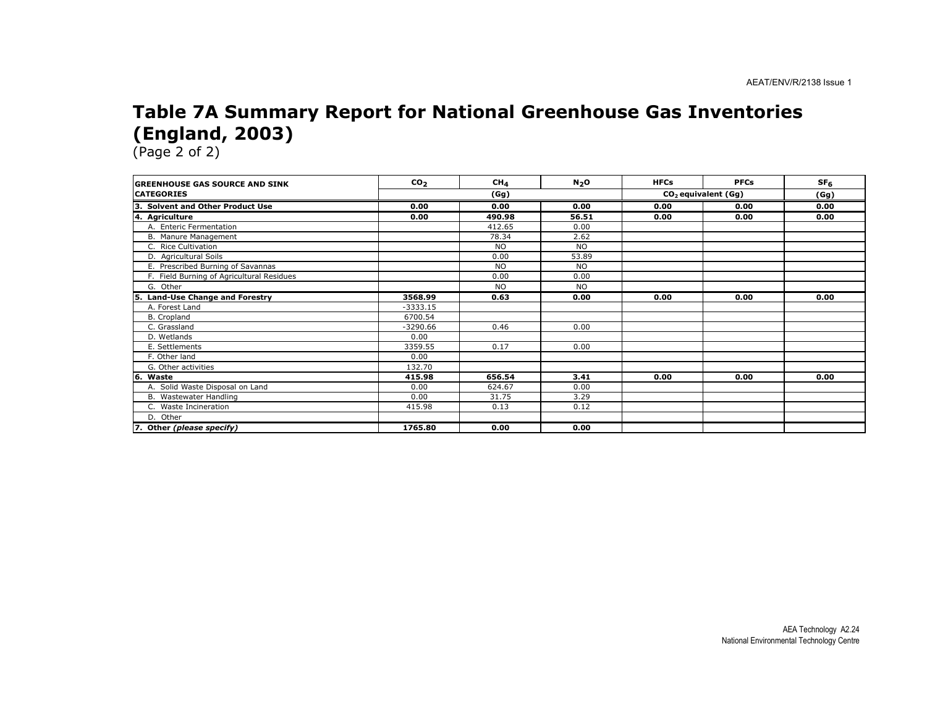#### Table 7A Summary Report for National Greenhouse Gas Inventories (England, 2003)

| <b>GREENHOUSE GAS SOURCE AND SINK</b>     | CO <sub>2</sub> | CH <sub>4</sub> | N <sub>2</sub> O | <b>HFCs</b> | <b>PFCs</b>           | SF <sub>6</sub> |
|-------------------------------------------|-----------------|-----------------|------------------|-------------|-----------------------|-----------------|
| <b>CATEGORIES</b>                         |                 | (Gg)            |                  |             | $CO2$ equivalent (Gg) |                 |
| 3. Solvent and Other Product Use          | 0.00            | 0.00            | 0.00             | 0.00        | 0.00                  | 0.00            |
| 4. Agriculture                            | 0.00            | 490.98          | 56.51            | 0.00        | 0.00                  | 0.00            |
| A. Enteric Fermentation                   |                 | 412.65          | 0.00             |             |                       |                 |
| B. Manure Management                      |                 | 78.34           | 2.62             |             |                       |                 |
| C. Rice Cultivation                       |                 | <b>NO</b>       | <b>NO</b>        |             |                       |                 |
| D. Agricultural Soils                     |                 | 0.00            | 53.89            |             |                       |                 |
| E. Prescribed Burning of Savannas         |                 | <b>NO</b>       | <b>NO</b>        |             |                       |                 |
| F. Field Burning of Agricultural Residues |                 | 0.00            | 0.00             |             |                       |                 |
| G. Other                                  |                 | <b>NO</b>       | <b>NO</b>        |             |                       |                 |
| Land-Use Change and Forestry<br>5.        | 3568.99         | 0.63            | 0.00             | 0.00        | 0.00                  | 0.00            |
| A. Forest Land                            | $-3333.15$      |                 |                  |             |                       |                 |
| B. Cropland                               | 6700.54         |                 |                  |             |                       |                 |
| C. Grassland                              | $-3290.66$      | 0.46            | 0.00             |             |                       |                 |
| D. Wetlands                               | 0.00            |                 |                  |             |                       |                 |
| E. Settlements                            | 3359.55         | 0.17            | 0.00             |             |                       |                 |
| F. Other land                             | 0.00            |                 |                  |             |                       |                 |
| G. Other activities                       | 132.70          |                 |                  |             |                       |                 |
| l6.<br>Waste                              | 415.98          | 656.54          | 3.41             | 0.00        | 0.00                  | 0.00            |
| A. Solid Waste Disposal on Land           | 0.00            | 624.67          | 0.00             |             |                       |                 |
| B. Wastewater Handling                    | 0.00            | 31.75           | 3.29             |             |                       |                 |
| C. Waste Incineration                     | 415.98          | 0.13            | 0.12             |             |                       |                 |
| D. Other                                  |                 |                 |                  |             |                       |                 |
| 7. Other (please specify)                 | 1765.80         | 0.00            | 0.00             |             |                       |                 |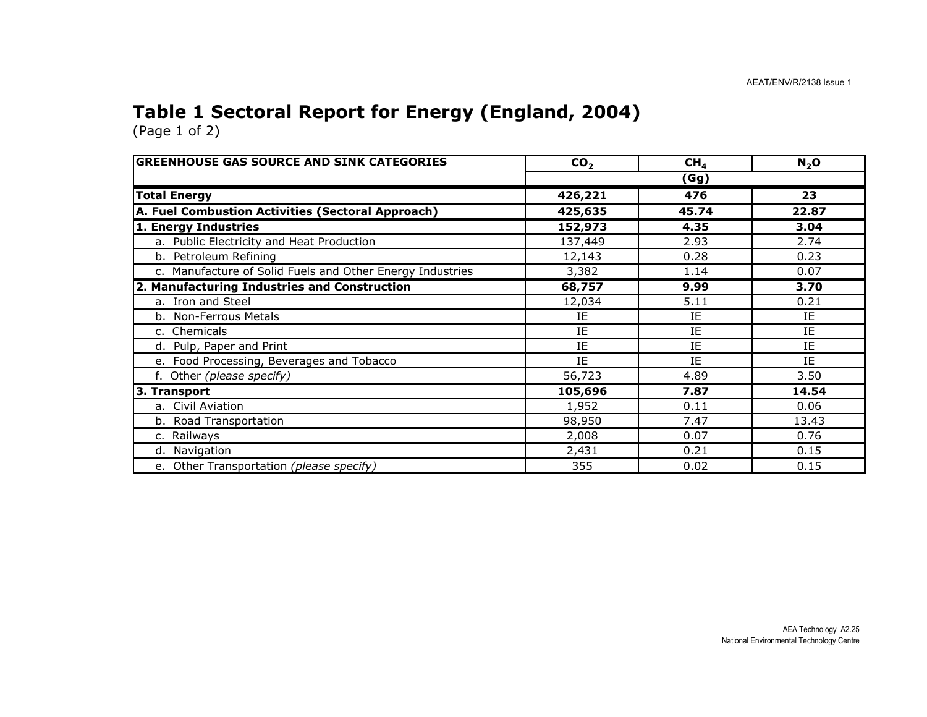#### Table 1 Sectoral Report for Energy (England, 2004)

| <b>GREENHOUSE GAS SOURCE AND SINK CATEGORIES</b>          | CO <sub>2</sub> | CH <sub>4</sub> | $N_2$ O |
|-----------------------------------------------------------|-----------------|-----------------|---------|
|                                                           | (Gg)            |                 |         |
| <b>Total Energy</b>                                       | 426,221         | 476             | 23      |
| A. Fuel Combustion Activities (Sectoral Approach)         | 425,635         | 45.74           | 22.87   |
| 1. Energy Industries                                      | 152,973         | 4.35            | 3.04    |
| a. Public Electricity and Heat Production                 | 137,449         | 2.93            | 2.74    |
| b. Petroleum Refining                                     | 12,143          | 0.28            | 0.23    |
| c. Manufacture of Solid Fuels and Other Energy Industries | 3,382           | 1.14            | 0.07    |
| 2. Manufacturing Industries and Construction              | 68,757          | 9.99            | 3.70    |
| a. Iron and Steel                                         | 12,034          | 5.11            | 0.21    |
| b. Non-Ferrous Metals                                     | IE              | IE              | ΙE      |
| c. Chemicals                                              | IE              | IE              | IE      |
| d. Pulp, Paper and Print                                  | IE              | IE              | IE      |
| e. Food Processing, Beverages and Tobacco                 | IE              | IE              | IE      |
| f. Other (please specify)                                 | 56,723          | 4.89            | 3.50    |
| 3. Transport                                              | 105,696         | 7.87            | 14.54   |
| a. Civil Aviation                                         | 1,952           | 0.11            | 0.06    |
| b. Road Transportation                                    | 98,950          | 7.47            | 13.43   |
| c. Railways                                               | 2,008           | 0.07            | 0.76    |
| d. Navigation                                             | 2,431           | 0.21            | 0.15    |
| e. Other Transportation (please specify)                  | 355             | 0.02            | 0.15    |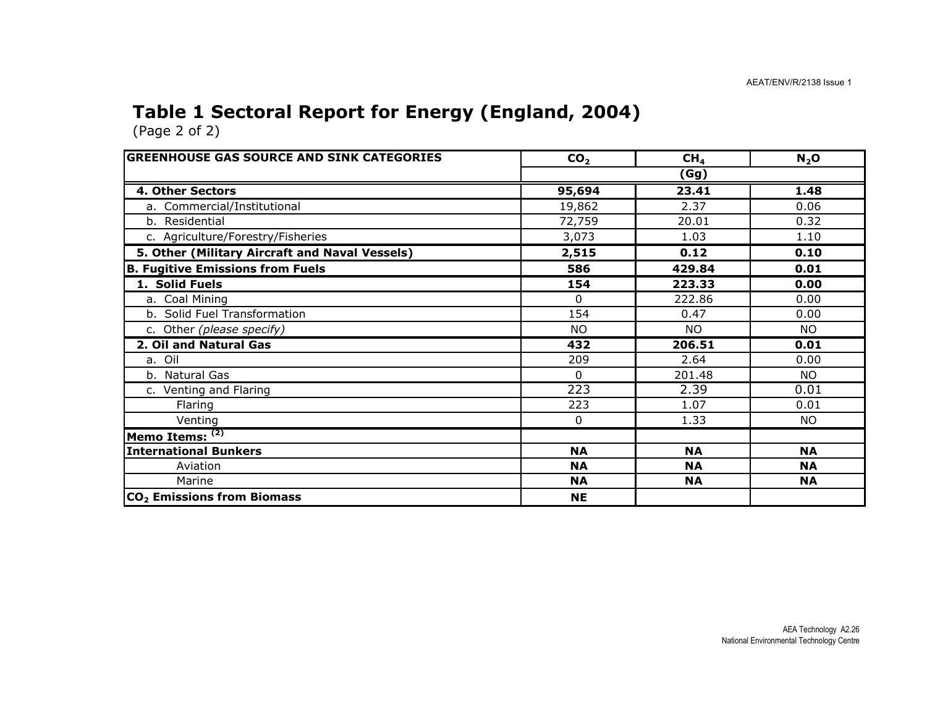#### Table 1 Sectoral Report for Energy (England, 2004)

| <b>GREENHOUSE GAS SOURCE AND SINK CATEGORIES</b> | CO <sub>2</sub> | CH <sub>4</sub> | N <sub>2</sub> O |  |  |
|--------------------------------------------------|-----------------|-----------------|------------------|--|--|
|                                                  | (Gg)            |                 |                  |  |  |
| 4. Other Sectors                                 | 95,694          | 23.41           | 1.48             |  |  |
| a. Commercial/Institutional                      | 19,862          | 2.37            | 0.06             |  |  |
| b. Residential                                   | 72,759          | 20.01           | 0.32             |  |  |
| c. Agriculture/Forestry/Fisheries                | 3,073           | 1.03            | 1.10             |  |  |
| 5. Other (Military Aircraft and Naval Vessels)   | 2,515           | 0.12            | 0.10             |  |  |
| <b>B. Fugitive Emissions from Fuels</b>          | 586             | 429.84          | 0.01             |  |  |
| 1. Solid Fuels                                   | 154             | 223.33          | 0.00             |  |  |
| a. Coal Mining                                   | 0               | 222.86          | 0.00             |  |  |
| b. Solid Fuel Transformation                     | 154             | 0.47            | 0.00             |  |  |
| c. Other (please specify)                        | <b>NO</b>       | <b>NO</b>       | NO.              |  |  |
| 2. Oil and Natural Gas                           | 432             | 206.51          | 0.01             |  |  |
| a. Oil                                           | 209             | 2.64            | 0.00             |  |  |
| b. Natural Gas                                   | $\Omega$        | 201.48          | <b>NO</b>        |  |  |
| c. Venting and Flaring                           | 223             | 2.39            | 0.01             |  |  |
| Flaring                                          | 223             | 1.07            | 0.01             |  |  |
| Venting                                          | 0               | 1.33            | <b>NO</b>        |  |  |
| Memo Items: (2)                                  |                 |                 |                  |  |  |
| <b>International Bunkers</b>                     | <b>NA</b>       | <b>NA</b>       | <b>NA</b>        |  |  |
| Aviation                                         | <b>NA</b>       | <b>NA</b>       | <b>NA</b>        |  |  |
| Marine                                           | <b>NA</b>       | <b>NA</b>       | <b>NA</b>        |  |  |
| CO <sub>2</sub> Emissions from Biomass           | <b>NE</b>       |                 |                  |  |  |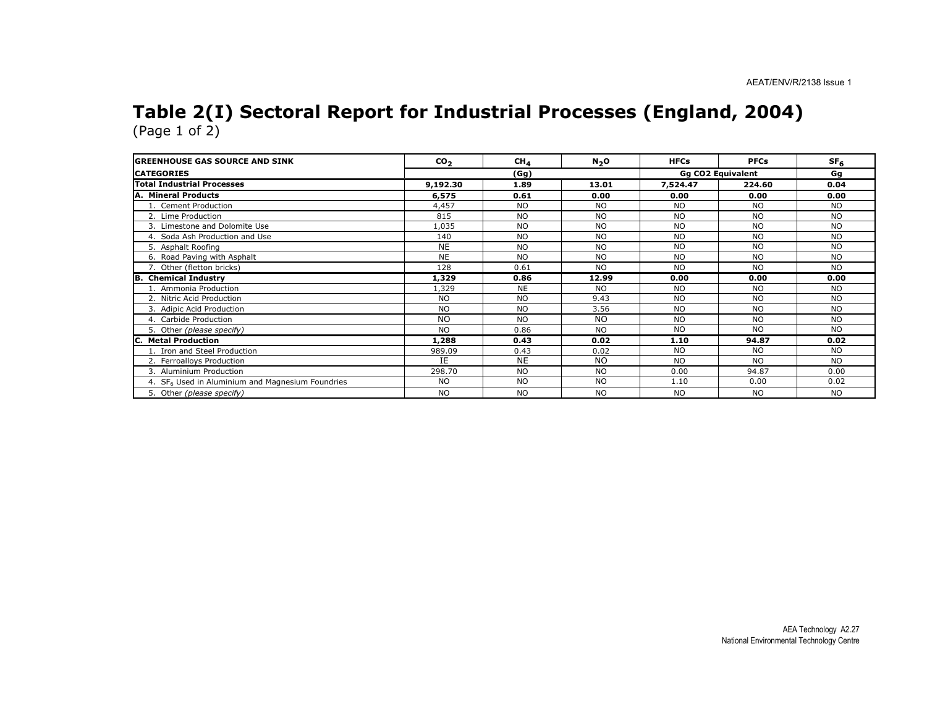#### Table 2(I) Sectoral Report for Industrial Processes (England, 2004)(Page 1 of 2)

| <b>GREENHOUSE GAS SOURCE AND SINK</b>                        | CO <sub>2</sub> | CH <sub>4</sub> | N <sub>2</sub> O | <b>HFCs</b> | <b>PFCs</b>              | SF <sub>6</sub> |
|--------------------------------------------------------------|-----------------|-----------------|------------------|-------------|--------------------------|-----------------|
| <b>CATEGORIES</b>                                            |                 | (Gg)            |                  |             | <b>Gg CO2 Equivalent</b> |                 |
| <b>Total Industrial Processes</b>                            | 9,192.30        | 1.89            | 13.01            | 7,524.47    | 224.60                   | 0.04            |
| A. Mineral Products                                          | 6,575           | 0.61            | 0.00             | 0.00        | 0.00                     | 0.00            |
| 1. Cement Production                                         | 4,457           | <b>NO</b>       | <b>NO</b>        | <b>NO</b>   | <b>NO</b>                | <b>NO</b>       |
| 2. Lime Production                                           | 815             | <b>NO</b>       | <b>NO</b>        | <b>NO</b>   | <b>NO</b>                | <b>NO</b>       |
| 3. Limestone and Dolomite Use                                | 1,035           | <b>NO</b>       | <b>NO</b>        | <b>NO</b>   | <b>NO</b>                | NO.             |
| 4. Soda Ash Production and Use                               | 140             | <b>NO</b>       | <b>NO</b>        | <b>NO</b>   | <b>NO</b>                | <b>NO</b>       |
| 5. Asphalt Roofing                                           | <b>NE</b>       | <b>NO</b>       | <b>NO</b>        | <b>NO</b>   | <b>NO</b>                | <b>NO</b>       |
| 6. Road Paving with Asphalt                                  | <b>NE</b>       | <b>NO</b>       | <b>NO</b>        | <b>NO</b>   | <b>NO</b>                | <b>NO</b>       |
| 7. Other (fletton bricks)                                    | 128             | 0.61            | <b>NO</b>        | <b>NO</b>   | <b>NO</b>                | <b>NO</b>       |
| <b>B.</b> Chemical Industry                                  | 1,329           | 0.86            | 12.99            | 0.00        | 0.00                     | 0.00            |
| . Ammonia Production                                         | 1,329           | <b>NE</b>       | <b>NO</b>        | NO.         | <b>NO</b>                | NO.             |
| 2. Nitric Acid Production                                    | <b>NO</b>       | <b>NO</b>       | 9.43             | <b>NO</b>   | <b>NO</b>                | <b>NO</b>       |
| 3. Adipic Acid Production                                    | <b>NO</b>       | <b>NO</b>       | 3.56             | <b>NO</b>   | <b>NO</b>                | <b>NO</b>       |
| 4. Carbide Production                                        | <b>NO</b>       | <b>NO</b>       | <b>NO</b>        | <b>NO</b>   | <b>NO</b>                | <b>NO</b>       |
| 5. Other (please specify)                                    | <b>NO</b>       | 0.86            | <b>NO</b>        | NO.         | <b>NO</b>                | NO.             |
| <b>Metal Production</b>                                      | 1,288           | 0.43            | 0.02             | 1.10        | 94.87                    | 0.02            |
| 1. Iron and Steel Production                                 | 989.09          | 0.43            | 0.02             | <b>NO</b>   | <b>NO</b>                | <b>NO</b>       |
| 2. Ferroalloys Production                                    | IE              | <b>NE</b>       | N <sub>O</sub>   | <b>NO</b>   | <b>NO</b>                | <b>NO</b>       |
| 3. Aluminium Production                                      | 298.70          | <b>NO</b>       | <b>NO</b>        | 0.00        | 94.87                    | 0.00            |
| 4. SF <sub>6</sub> Used in Aluminium and Magnesium Foundries | <b>NO</b>       | <b>NO</b>       | <b>NO</b>        | 1.10        | 0.00                     | 0.02            |
| 5. Other (please specify)                                    | <b>NO</b>       | <b>NO</b>       | NO.              | <b>NO</b>   | <b>NO</b>                | NO.             |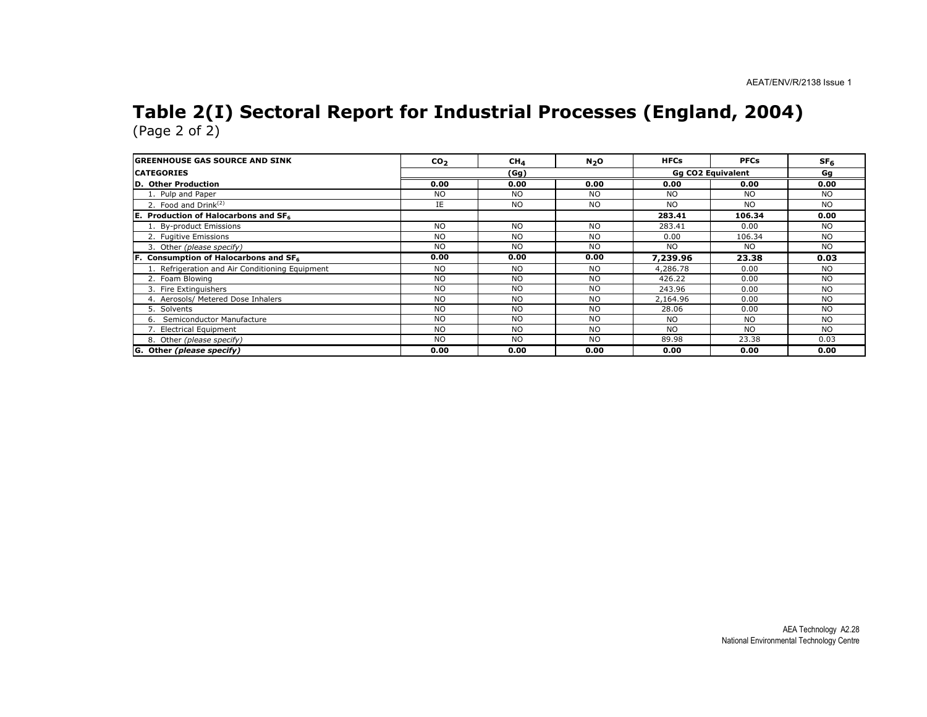## Table 2(I) Sectoral Report for Industrial Processes (England, 2004) (Page 2 of 2)

| <b>IGREENHOUSE GAS SOURCE AND SINK</b>           | CO <sub>2</sub> | CH <sub>4</sub> | N <sub>2</sub> O  | <b>HFCs</b>    | <b>PFCs</b> | SF <sub>6</sub> |
|--------------------------------------------------|-----------------|-----------------|-------------------|----------------|-------------|-----------------|
| <b>ICATEGORIES</b>                               | (Gg)            |                 | Gq CO2 Equivalent |                | Gg          |                 |
| <b>ID. Other Production</b>                      | 0.00            | 0.00            | 0.00              | 0.00           | 0.00        | 0.00            |
| 1. Pulp and Paper                                | <b>NO</b>       | <b>NO</b>       | <b>NO</b>         | <b>NO</b>      | NO.         | NO.             |
| 2. Food and Drink $^{(2)}$                       | IE              | <b>NO</b>       | <b>NO</b>         | N <sub>O</sub> | NO.         | <b>NO</b>       |
| E. Production of Halocarbons and SF <sub>6</sub> |                 |                 |                   | 283.41         | 106.34      | 0.00            |
| 1. By-product Emissions                          | <b>NO</b>       | <b>NO</b>       | <b>NO</b>         | 283.41         | 0.00        | NO.             |
| 2. Fugitive Emissions                            | NO.             | <b>NO</b>       | <b>NO</b>         | 0.00           | 106.34      | NO.             |
| 3. Other (please specify)                        | NO.             | <b>NO</b>       | N <sub>O</sub>    | <b>NO</b>      | NO.         | <b>NO</b>       |
| Consumption of Halocarbons and SF6               | 0.00            | 0.00            | 0.00              | 7,239.96       | 23.38       | 0.03            |
| 1. Refrigeration and Air Conditioning Equipment  | <b>NO</b>       | <b>NO</b>       | <b>NO</b>         | 4,286.78       | 0.00        | <b>NO</b>       |
| 2. Foam Blowing                                  | <b>NO</b>       | <b>NO</b>       | <b>NO</b>         | 426.22         | 0.00        | <b>NO</b>       |
| 3. Fire Extinguishers                            | <b>NO</b>       | <b>NO</b>       | <b>NO</b>         | 243.96         | 0.00        | <b>NO</b>       |
| 4. Aerosols/ Metered Dose Inhalers               | <b>NO</b>       | <b>NO</b>       | <b>NO</b>         | 2,164.96       | 0.00        | <b>NO</b>       |
| 5. Solvents                                      | <b>NO</b>       | <b>NO</b>       | <b>NO</b>         | 28.06          | 0.00        | <b>NO</b>       |
| 6. Semiconductor Manufacture                     | NO.             | <b>NO</b>       | NO.               | <b>NO</b>      | <b>NO</b>   | <b>NO</b>       |
| 7. Electrical Equipment                          | <b>NO</b>       | <b>NO</b>       | NO.               | <b>NO</b>      | NO.         | NO.             |
| 8. Other (please specify)                        | <b>NO</b>       | <b>NO</b>       | <b>NO</b>         | 89.98          | 23.38       | 0.03            |
| G. Other (please specify)                        | 0.00            | 0.00            | 0.00              | 0.00           | 0.00        | 0.00            |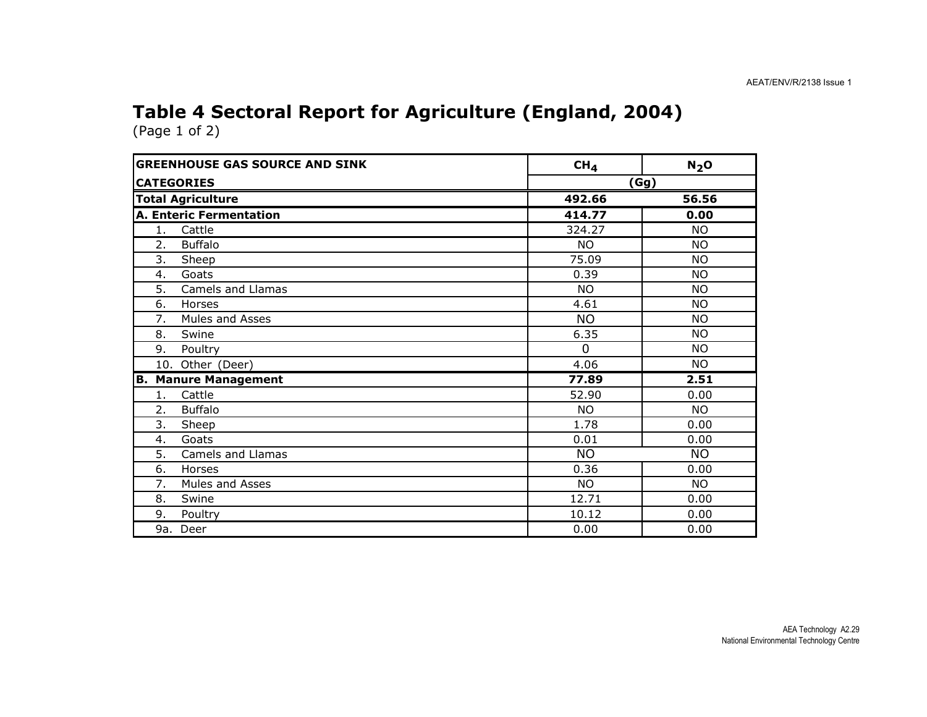### Table 4 Sectoral Report for Agriculture (England, 2004)

| <b>GREENHOUSE GAS SOURCE AND SINK</b> | CH <sub>4</sub> | $N2$ O    |
|---------------------------------------|-----------------|-----------|
| <b>CATEGORIES</b>                     | (Gg)            |           |
| <b>Total Agriculture</b>              | 492.66          | 56.56     |
| <b>A. Enteric Fermentation</b>        | 414.77          | 0.00      |
| 1.<br>Cattle                          | 324.27          | <b>NO</b> |
| 2.<br><b>Buffalo</b>                  | <b>NO</b>       | <b>NO</b> |
| 3.<br>Sheep                           | 75.09           | <b>NO</b> |
| Goats<br>4.                           | 0.39            | <b>NO</b> |
| <b>Camels and Llamas</b><br>5.        | <b>NO</b>       | <b>NO</b> |
| 6.<br>Horses                          | 4.61            | <b>NO</b> |
| 7.<br>Mules and Asses                 | <b>NO</b>       | <b>NO</b> |
| 8.<br>Swine                           | 6.35            | <b>NO</b> |
| Poultry<br>9.                         | $\Omega$        | <b>NO</b> |
| 10. Other (Deer)                      | 4.06            | <b>NO</b> |
| <b>Manure Management</b><br>В.        | 77.89           | 2.51      |
| Cattle<br>1.                          | 52.90           | 0.00      |
| <b>Buffalo</b><br>2.                  | <b>NO</b>       | NO.       |
| 3.<br>Sheep                           | 1.78            | 0.00      |
| 4.<br>Goats                           | 0.01            | 0.00      |
| 5.<br><b>Camels and Llamas</b>        | <b>NO</b>       | <b>NO</b> |
| 6.<br>Horses                          | 0.36            | 0.00      |
| 7.<br>Mules and Asses                 | <b>NO</b>       | <b>NO</b> |
| Swine<br>8.                           | 12.71           | 0.00      |
| 9.<br>Poultry                         | 10.12           | 0.00      |
| 9a. Deer                              | 0.00            | 0.00      |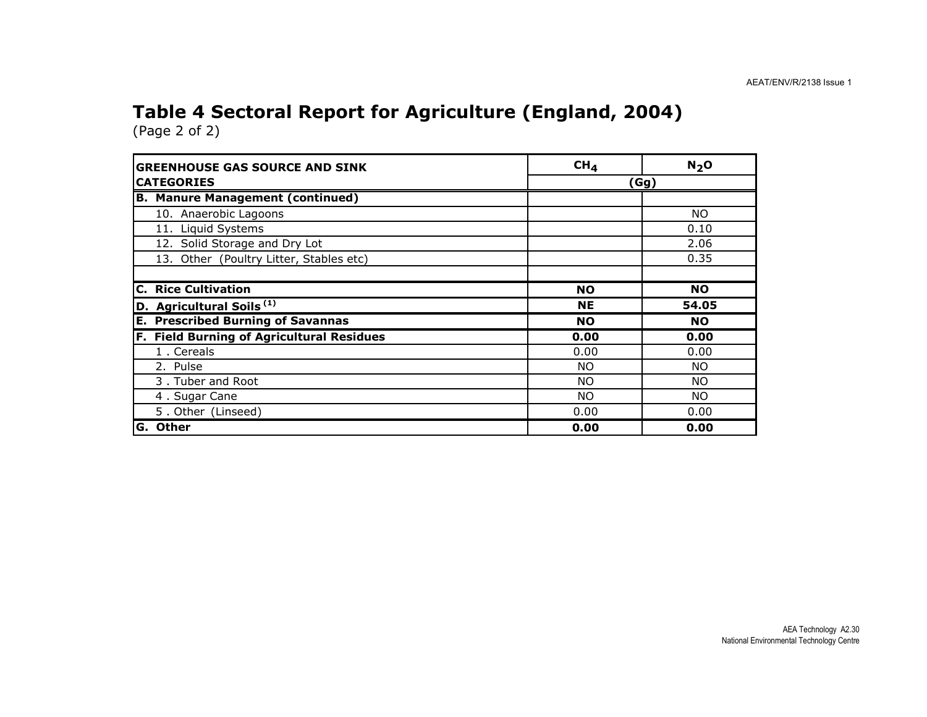## Table 4 Sectoral Report for Agriculture (England, 2004)

| <b>GREENHOUSE GAS SOURCE AND SINK</b>     | CH <sub>4</sub> | N <sub>2</sub> O |  |
|-------------------------------------------|-----------------|------------------|--|
| <b>CATEGORIES</b>                         | (Gg)            |                  |  |
| <b>B. Manure Management (continued)</b>   |                 |                  |  |
| 10. Anaerobic Lagoons                     |                 | NO.              |  |
| 11. Liquid Systems                        |                 | 0.10             |  |
| 12. Solid Storage and Dry Lot             |                 | 2.06             |  |
| 13. Other (Poultry Litter, Stables etc)   |                 | 0.35             |  |
| <b>C.</b> Rice Cultivation                | <b>NO</b>       | <b>NO</b>        |  |
| D. Agricultural Soils <sup>(1)</sup>      | <b>NE</b>       | 54.05            |  |
| <b>E. Prescribed Burning of Savannas</b>  | <b>NO</b>       | <b>NO</b>        |  |
| F. Field Burning of Agricultural Residues | 0.00            | 0.00             |  |
| 1. Cereals                                | 0.00            | 0.00             |  |
| 2. Pulse                                  | <b>NO</b>       | NO.              |  |
| 3. Tuber and Root                         | <b>NO</b>       | NO.              |  |
| 4. Sugar Cane                             | <b>NO</b>       | NO.              |  |
| 5. Other (Linseed)                        | 0.00            | 0.00             |  |
| G. Other                                  | 0.00            | 0.00             |  |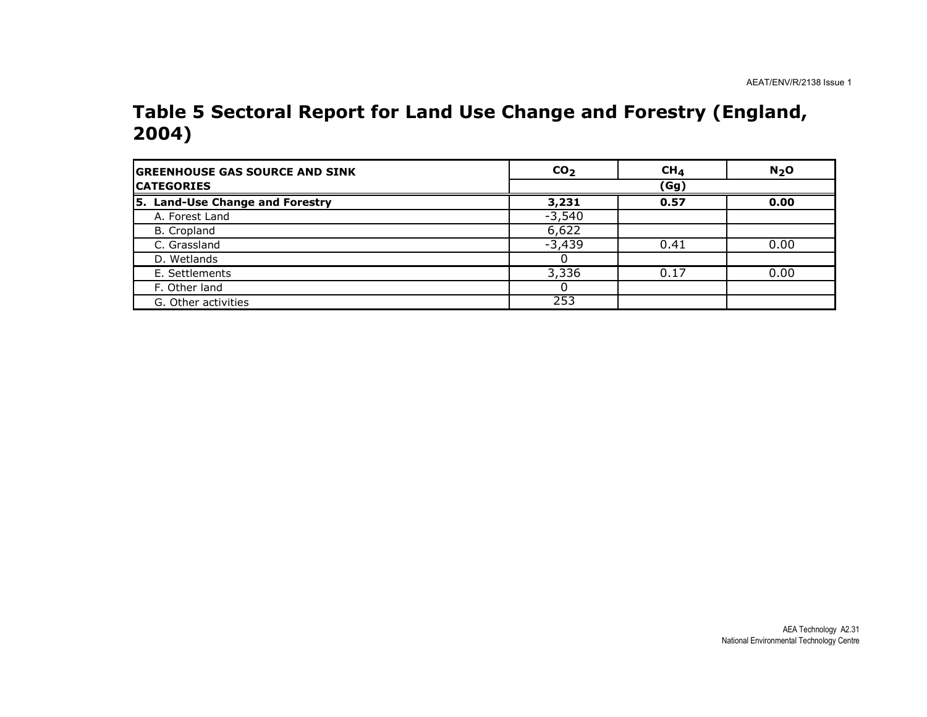#### Table 5 Sectoral Report for Land Use Change and Forestry (England, 2004)

| <b>GREENHOUSE GAS SOURCE AND SINK</b> | CO <sub>2</sub> | $CH_{4}$ | N <sub>2</sub> O |
|---------------------------------------|-----------------|----------|------------------|
| <b>ICATEGORIES</b>                    |                 | (Gg)     |                  |
| 5. Land-Use Change and Forestry       | 3,231           | 0.57     | 0.00             |
| A. Forest Land                        | $-3,540$        |          |                  |
| B. Cropland                           | 6,622           |          |                  |
| C. Grassland                          | $-3,439$        | 0.41     | 0.00             |
| D. Wetlands                           |                 |          |                  |
| E. Settlements                        | 3,336           | 0.17     | 0.00             |
| F. Other land                         |                 |          |                  |
| G. Other activities                   | 253             |          |                  |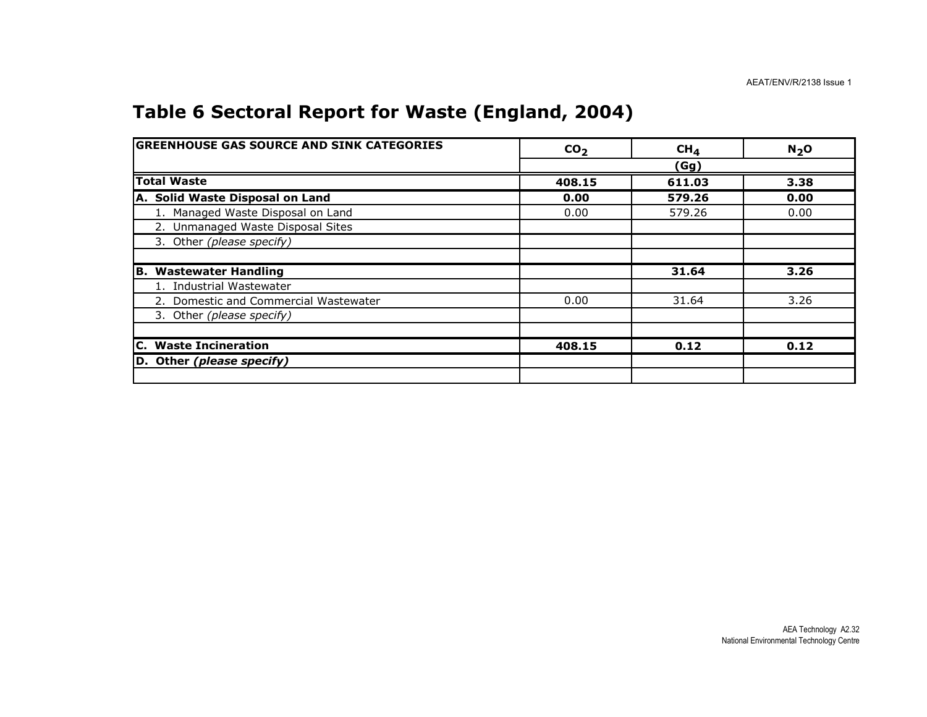#### Table 6 Sectoral Report for Waste (England, 2004)

| <b>GREENHOUSE GAS SOURCE AND SINK CATEGORIES</b> | CO <sub>2</sub> | CH <sub>4</sub> | $N_2$ O |
|--------------------------------------------------|-----------------|-----------------|---------|
|                                                  |                 | (Gg)            |         |
| <b>Total Waste</b>                               | 408.15          | 611.03          | 3.38    |
| A. Solid Waste Disposal on Land                  | 0.00            | 579.26          | 0.00    |
| 1. Managed Waste Disposal on Land                | 0.00            | 579.26          | 0.00    |
| 2. Unmanaged Waste Disposal Sites                |                 |                 |         |
| 3. Other (please specify)                        |                 |                 |         |
|                                                  |                 |                 |         |
| B. Wastewater Handling                           |                 | 31.64           | 3.26    |
| 1. Industrial Wastewater                         |                 |                 |         |
| 2. Domestic and Commercial Wastewater            | 0.00            | 31.64           | 3.26    |
| 3. Other (please specify)                        |                 |                 |         |
|                                                  |                 |                 |         |
| <b>C.</b> Waste Incineration                     | 408.15          | 0.12            | 0.12    |
| D. Other (please specify)                        |                 |                 |         |
|                                                  |                 |                 |         |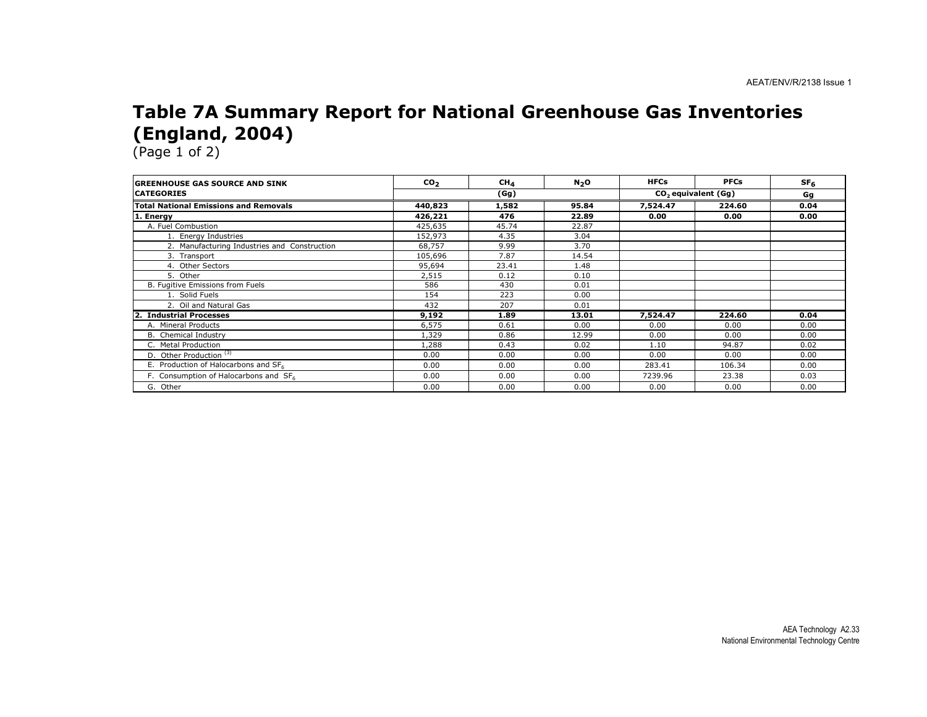#### Table 7A Summary Report for National Greenhouse Gas Inventories (England, 2004)

| <b>GREENHOUSE GAS SOURCE AND SINK</b>        | CO <sub>2</sub> | CH <sub>4</sub> | N <sub>2</sub> O                | <b>HFCs</b> | <b>PFCs</b> | SF <sub>6</sub> |
|----------------------------------------------|-----------------|-----------------|---------------------------------|-------------|-------------|-----------------|
| <b>ICATEGORIES</b>                           | (Gg)            |                 | CO <sub>2</sub> equivalent (Gq) |             | Gg          |                 |
| <b>Total National Emissions and Removals</b> | 440,823         | 1,582           | 95.84                           | 7,524.47    | 224.60      | 0.04            |
| 1. Energy                                    | 426,221         | 476             | 22.89                           | 0.00        | 0.00        | 0.00            |
| A. Fuel Combustion                           | 425,635         | 45.74           | 22.87                           |             |             |                 |
| 1. Energy Industries                         | 152,973         | 4.35            | 3.04                            |             |             |                 |
| 2. Manufacturing Industries and Construction | 68,757          | 9.99            | 3.70                            |             |             |                 |
| 3. Transport                                 | 105,696         | 7.87            | 14.54                           |             |             |                 |
| 4. Other Sectors                             | 95,694          | 23.41           | 1.48                            |             |             |                 |
| 5. Other                                     | 2,515           | 0.12            | 0.10                            |             |             |                 |
| B. Fugitive Emissions from Fuels             | 586             | 430             | 0.01                            |             |             |                 |
| 1. Solid Fuels                               | 154             | 223             | 0.00                            |             |             |                 |
| 2. Oil and Natural Gas                       | 432             | 207             | 0.01                            |             |             |                 |
| <b>Industrial Processes</b><br>2.            | 9,192           | 1.89            | 13.01                           | 7,524.47    | 224.60      | 0.04            |
| A. Mineral Products                          | 6,575           | 0.61            | 0.00                            | 0.00        | 0.00        | 0.00            |
| B. Chemical Industry                         | 1,329           | 0.86            | 12.99                           | 0.00        | 0.00        | 0.00            |
| C. Metal Production                          | 1,288           | 0.43            | 0.02                            | 1.10        | 94.87       | 0.02            |
| D. Other Production <sup>(3)</sup>           | 0.00            | 0.00            | 0.00                            | 0.00        | 0.00        | 0.00            |
| E. Production of Halocarbons and SF6         | 0.00            | 0.00            | 0.00                            | 283.41      | 106.34      | 0.00            |
| F. Consumption of Halocarbons and SF6        | 0.00            | 0.00            | 0.00                            | 7239.96     | 23.38       | 0.03            |
| G. Other                                     | 0.00            | 0.00            | 0.00                            | 0.00        | 0.00        | 0.00            |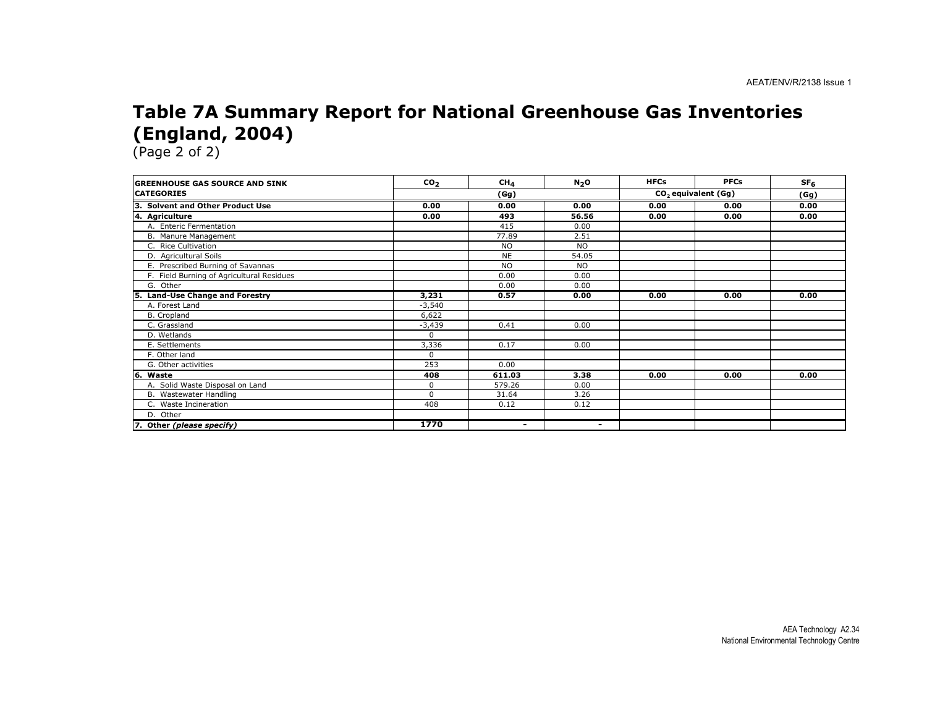#### Table 7A Summary Report for National Greenhouse Gas Inventories (England, 2004)

| <b>GREENHOUSE GAS SOURCE AND SINK</b>      | CO <sub>2</sub> | CH <sub>4</sub> | N <sub>2</sub> O | <b>HFCs</b> | <b>PFCs</b>                     | SF <sub>6</sub> |
|--------------------------------------------|-----------------|-----------------|------------------|-------------|---------------------------------|-----------------|
| <b>CATEGORIES</b>                          |                 | (Gg)            |                  |             | CO <sub>2</sub> equivalent (Gg) | (Gg)            |
| З.<br><b>Solvent and Other Product Use</b> | 0.00            | 0.00            | 0.00             | 0.00        | 0.00                            | 0.00            |
| 4. Agriculture                             | 0.00            | 493             | 56.56            | 0.00        | 0.00                            | 0.00            |
| A. Enteric Fermentation                    |                 | 415             | 0.00             |             |                                 |                 |
| B. Manure Management                       |                 | 77.89           | 2.51             |             |                                 |                 |
| C. Rice Cultivation                        |                 | <b>NO</b>       | <b>NO</b>        |             |                                 |                 |
| D. Agricultural Soils                      |                 | <b>NE</b>       | 54.05            |             |                                 |                 |
| E. Prescribed Burning of Savannas          |                 | <b>NO</b>       | <b>NO</b>        |             |                                 |                 |
| F. Field Burning of Agricultural Residues  |                 | 0.00            | 0.00             |             |                                 |                 |
| G. Other                                   |                 | 0.00            | 0.00             |             |                                 |                 |
| <b>Land-Use Change and Forestry</b><br>5.  | 3,231           | 0.57            | 0.00             | 0.00        | 0.00                            | 0.00            |
| A. Forest Land                             | $-3,540$        |                 |                  |             |                                 |                 |
| B. Cropland                                | 6,622           |                 |                  |             |                                 |                 |
| C. Grassland                               | $-3,439$        | 0.41            | 0.00             |             |                                 |                 |
| D. Wetlands                                | $\Omega$        |                 |                  |             |                                 |                 |
| E. Settlements                             | 3,336           | 0.17            | 0.00             |             |                                 |                 |
| F. Other land                              | $\Omega$        |                 |                  |             |                                 |                 |
| G. Other activities                        | 253             | 0.00            |                  |             |                                 |                 |
| 16.<br>Waste                               | 408             | 611.03          | 3.38             | 0.00        | 0.00                            | 0.00            |
| A. Solid Waste Disposal on Land            | $\Omega$        | 579.26          | 0.00             |             |                                 |                 |
| B. Wastewater Handling                     | $\Omega$        | 31.64           | 3.26             |             |                                 |                 |
| C. Waste Incineration                      | 408             | 0.12            | 0.12             |             |                                 |                 |
| D. Other                                   |                 |                 |                  |             |                                 |                 |
| 7. Other (please specify)                  | 1770            | $\blacksquare$  | $\blacksquare$   |             |                                 |                 |